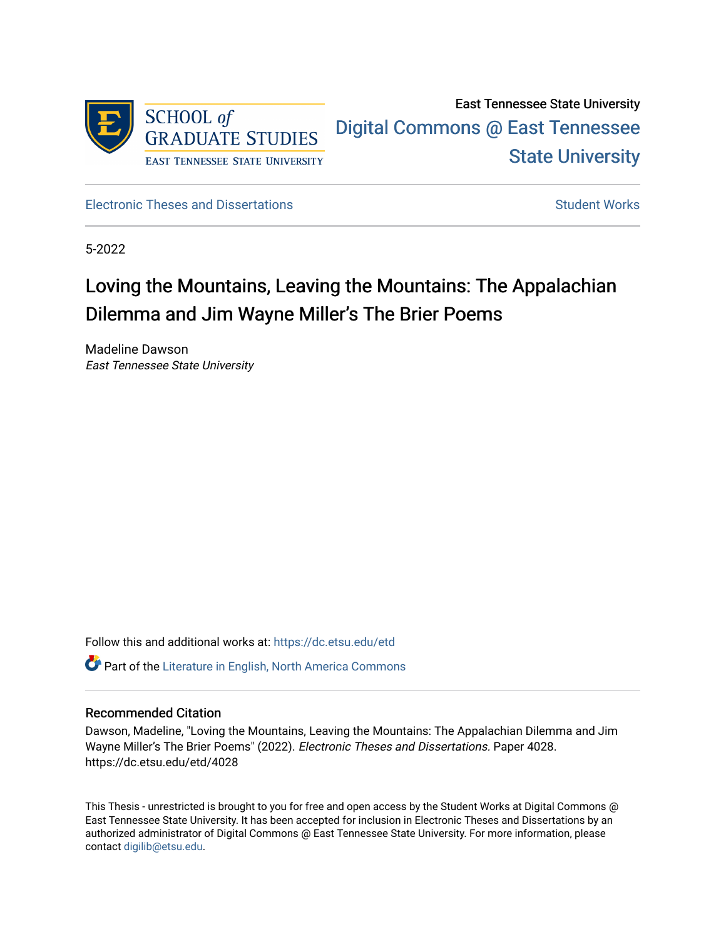

East Tennessee State University [Digital Commons @ East Tennessee](https://dc.etsu.edu/)  [State University](https://dc.etsu.edu/) 

[Electronic Theses and Dissertations](https://dc.etsu.edu/etd) [Student Works](https://dc.etsu.edu/student-works) Student Works

5-2022

# Loving the Mountains, Leaving the Mountains: The Appalachian Dilemma and Jim Wayne Miller's The Brier Poems

Madeline Dawson East Tennessee State University

Follow this and additional works at: [https://dc.etsu.edu/etd](https://dc.etsu.edu/etd?utm_source=dc.etsu.edu%2Fetd%2F4028&utm_medium=PDF&utm_campaign=PDFCoverPages)

 $\bullet$  Part of the Literature in English, North America Commons

### Recommended Citation

Dawson, Madeline, "Loving the Mountains, Leaving the Mountains: The Appalachian Dilemma and Jim Wayne Miller's The Brier Poems" (2022). Electronic Theses and Dissertations. Paper 4028. https://dc.etsu.edu/etd/4028

This Thesis - unrestricted is brought to you for free and open access by the Student Works at Digital Commons @ East Tennessee State University. It has been accepted for inclusion in Electronic Theses and Dissertations by an authorized administrator of Digital Commons @ East Tennessee State University. For more information, please contact [digilib@etsu.edu](mailto:digilib@etsu.edu).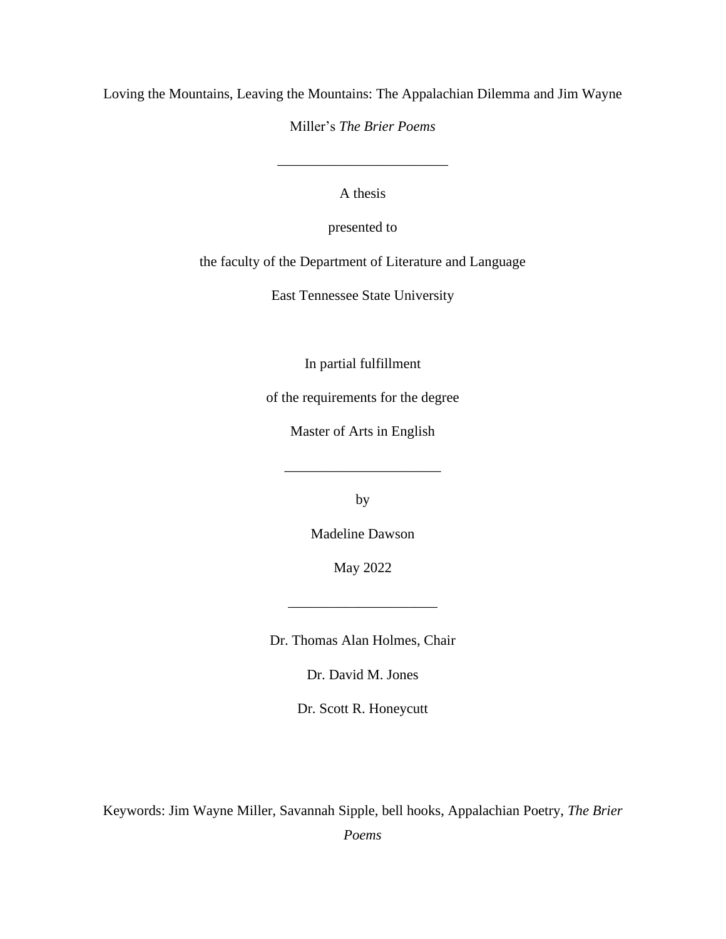Loving the Mountains, Leaving the Mountains: The Appalachian Dilemma and Jim Wayne

Miller's *The Brier Poems*

\_\_\_\_\_\_\_\_\_\_\_\_\_\_\_\_\_\_\_\_\_\_\_\_

A thesis

presented to

the faculty of the Department of Literature and Language

East Tennessee State University

In partial fulfillment

of the requirements for the degree

Master of Arts in English

\_\_\_\_\_\_\_\_\_\_\_\_\_\_\_\_\_\_\_\_\_\_

by

Madeline Dawson

May 2022

\_\_\_\_\_\_\_\_\_\_\_\_\_\_\_\_\_\_\_\_\_

Dr. Thomas Alan Holmes, Chair

Dr. David M. Jones

Dr. Scott R. Honeycutt

Keywords: Jim Wayne Miller, Savannah Sipple, bell hooks, Appalachian Poetry, *The Brier* 

*Poems*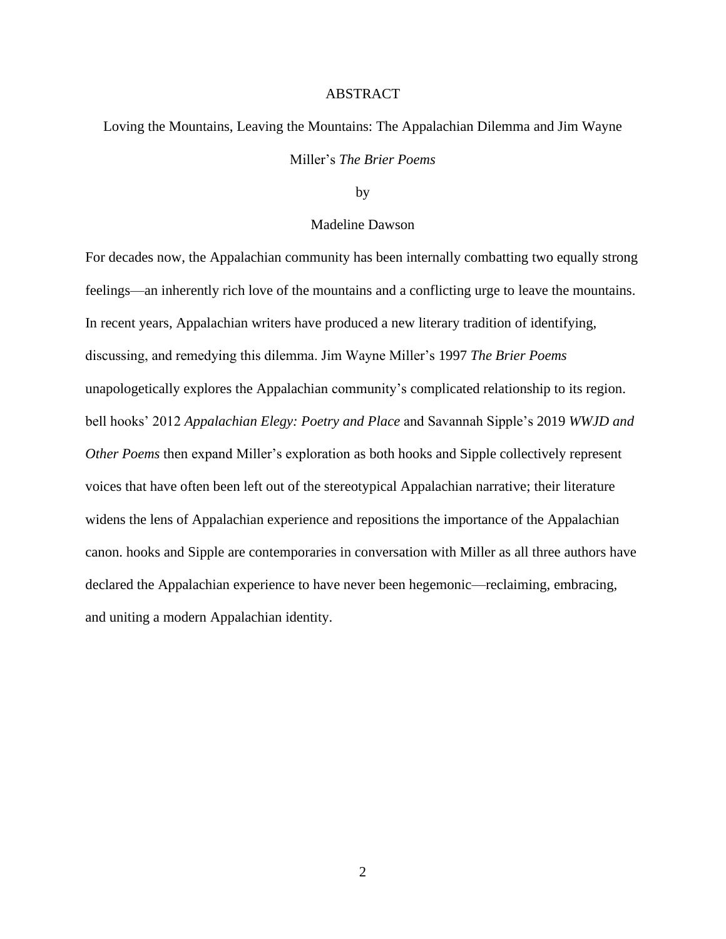#### ABSTRACT

Loving the Mountains, Leaving the Mountains: The Appalachian Dilemma and Jim Wayne Miller's *The Brier Poems*

by

#### Madeline Dawson

For decades now, the Appalachian community has been internally combatting two equally strong feelings—an inherently rich love of the mountains and a conflicting urge to leave the mountains. In recent years, Appalachian writers have produced a new literary tradition of identifying, discussing, and remedying this dilemma. Jim Wayne Miller's 1997 *The Brier Poems*  unapologetically explores the Appalachian community's complicated relationship to its region. bell hooks' 2012 *Appalachian Elegy: Poetry and Place* and Savannah Sipple's 2019 *WWJD and Other Poems* then expand Miller's exploration as both hooks and Sipple collectively represent voices that have often been left out of the stereotypical Appalachian narrative; their literature widens the lens of Appalachian experience and repositions the importance of the Appalachian canon. hooks and Sipple are contemporaries in conversation with Miller as all three authors have declared the Appalachian experience to have never been hegemonic—reclaiming, embracing, and uniting a modern Appalachian identity.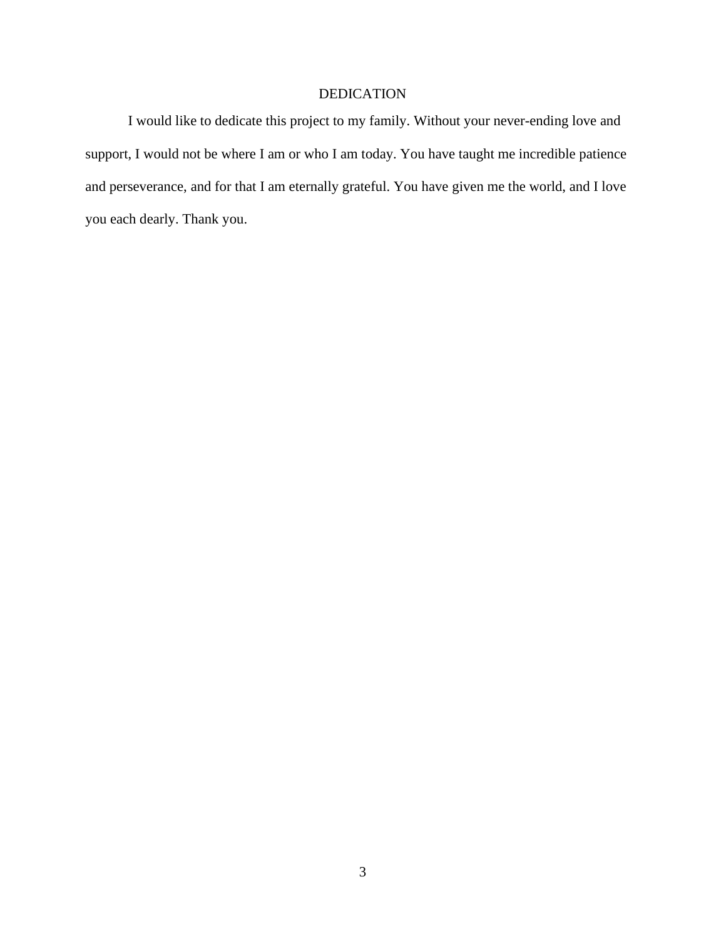# DEDICATION

I would like to dedicate this project to my family. Without your never-ending love and support, I would not be where I am or who I am today. You have taught me incredible patience and perseverance, and for that I am eternally grateful. You have given me the world, and I love you each dearly. Thank you.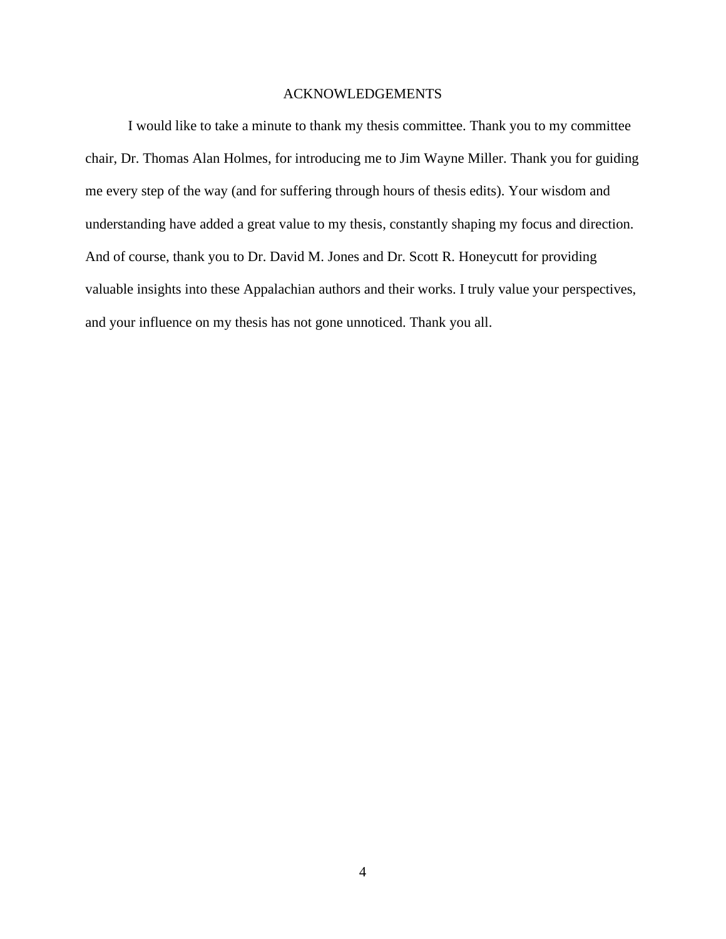### ACKNOWLEDGEMENTS

I would like to take a minute to thank my thesis committee. Thank you to my committee chair, Dr. Thomas Alan Holmes, for introducing me to Jim Wayne Miller. Thank you for guiding me every step of the way (and for suffering through hours of thesis edits). Your wisdom and understanding have added a great value to my thesis, constantly shaping my focus and direction. And of course, thank you to Dr. David M. Jones and Dr. Scott R. Honeycutt for providing valuable insights into these Appalachian authors and their works. I truly value your perspectives, and your influence on my thesis has not gone unnoticed. Thank you all.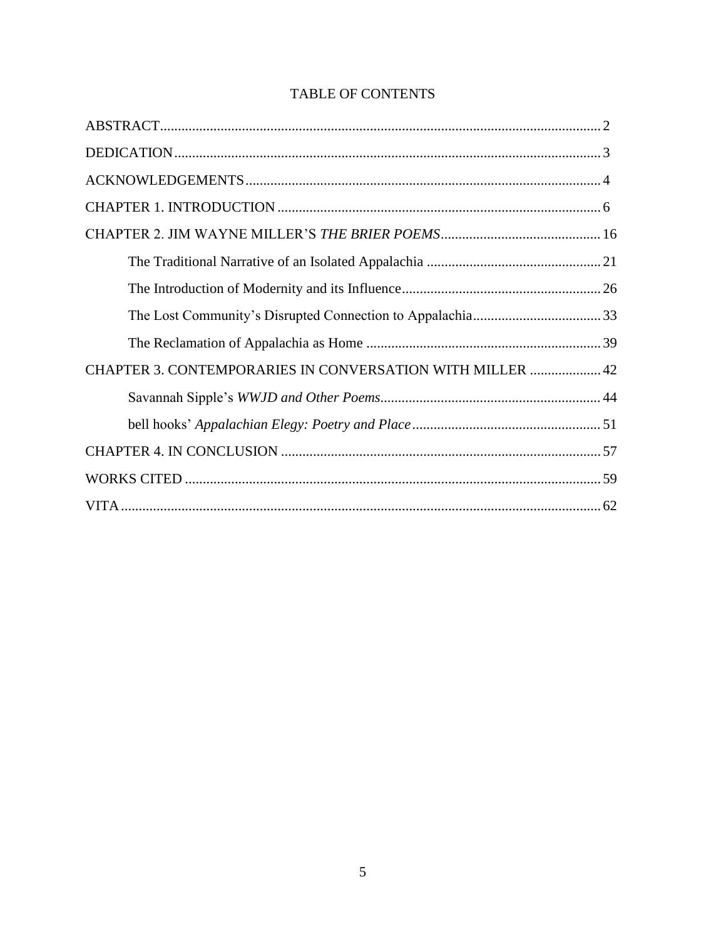| <b>CHAPTER 3. CONTEMPORARIES IN CONVERSATION WITH MILLER  42</b> |  |
|------------------------------------------------------------------|--|
|                                                                  |  |
|                                                                  |  |
|                                                                  |  |
|                                                                  |  |
|                                                                  |  |

# TABLE OF CONTENTS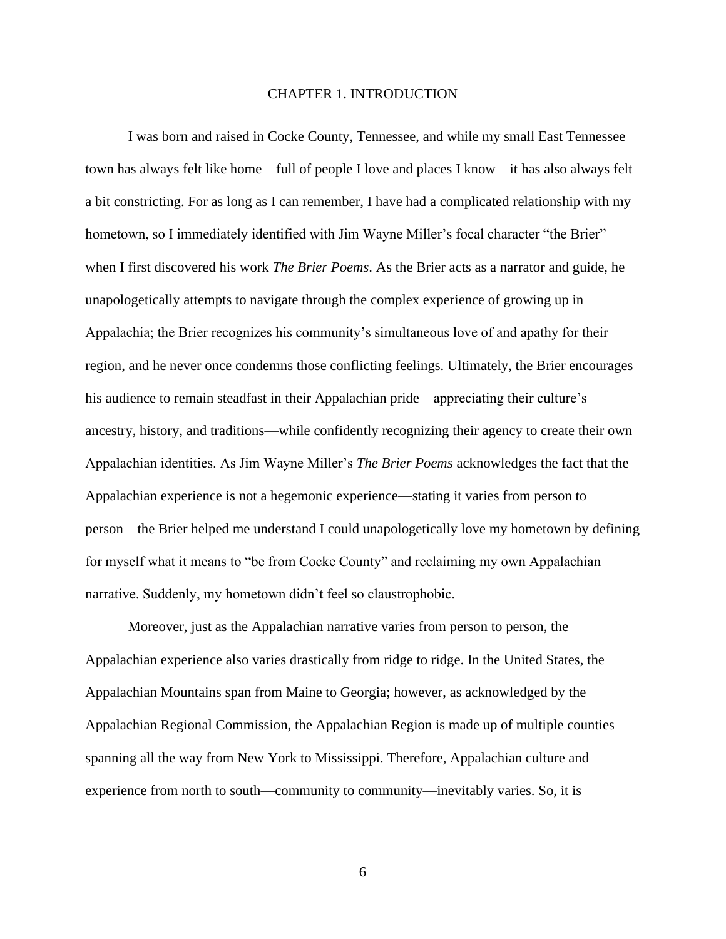#### CHAPTER 1. INTRODUCTION

I was born and raised in Cocke County, Tennessee, and while my small East Tennessee town has always felt like home—full of people I love and places I know—it has also always felt a bit constricting. For as long as I can remember, I have had a complicated relationship with my hometown, so I immediately identified with Jim Wayne Miller's focal character "the Brier" when I first discovered his work *The Brier Poems*. As the Brier acts as a narrator and guide, he unapologetically attempts to navigate through the complex experience of growing up in Appalachia; the Brier recognizes his community's simultaneous love of and apathy for their region, and he never once condemns those conflicting feelings. Ultimately, the Brier encourages his audience to remain steadfast in their Appalachian pride—appreciating their culture's ancestry, history, and traditions—while confidently recognizing their agency to create their own Appalachian identities. As Jim Wayne Miller's *The Brier Poems* acknowledges the fact that the Appalachian experience is not a hegemonic experience—stating it varies from person to person—the Brier helped me understand I could unapologetically love my hometown by defining for myself what it means to "be from Cocke County" and reclaiming my own Appalachian narrative. Suddenly, my hometown didn't feel so claustrophobic.

Moreover, just as the Appalachian narrative varies from person to person, the Appalachian experience also varies drastically from ridge to ridge. In the United States, the Appalachian Mountains span from Maine to Georgia; however, as acknowledged by the Appalachian Regional Commission, the Appalachian Region is made up of multiple counties spanning all the way from New York to Mississippi. Therefore, Appalachian culture and experience from north to south—community to community—inevitably varies. So, it is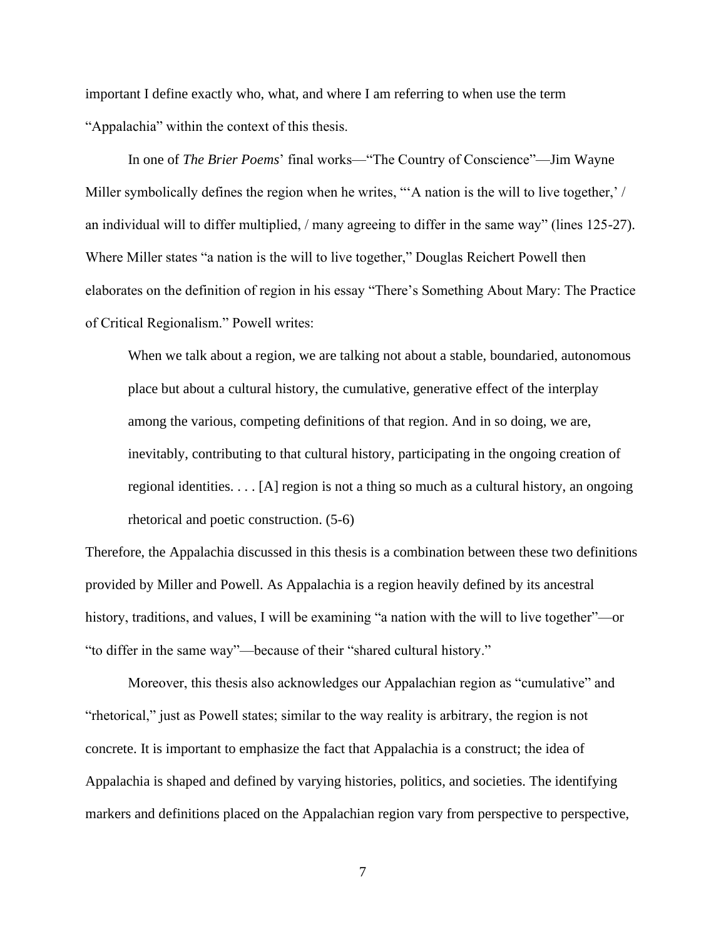important I define exactly who, what, and where I am referring to when use the term "Appalachia" within the context of this thesis.

In one of *The Brier Poems*' final works—"The Country of Conscience"—Jim Wayne Miller symbolically defines the region when he writes, "A nation is the will to live together,' / an individual will to differ multiplied, / many agreeing to differ in the same way" (lines 125-27). Where Miller states "a nation is the will to live together," Douglas Reichert Powell then elaborates on the definition of region in his essay "There's Something About Mary: The Practice of Critical Regionalism." Powell writes:

When we talk about a region, we are talking not about a stable, boundaried, autonomous place but about a cultural history, the cumulative, generative effect of the interplay among the various, competing definitions of that region. And in so doing, we are, inevitably, contributing to that cultural history, participating in the ongoing creation of regional identities.  $\ldots$  [A] region is not a thing so much as a cultural history, an ongoing rhetorical and poetic construction. (5-6)

Therefore, the Appalachia discussed in this thesis is a combination between these two definitions provided by Miller and Powell. As Appalachia is a region heavily defined by its ancestral history, traditions, and values, I will be examining "a nation with the will to live together"—or "to differ in the same way"—because of their "shared cultural history."

Moreover, this thesis also acknowledges our Appalachian region as "cumulative" and "rhetorical," just as Powell states; similar to the way reality is arbitrary, the region is not concrete. It is important to emphasize the fact that Appalachia is a construct; the idea of Appalachia is shaped and defined by varying histories, politics, and societies. The identifying markers and definitions placed on the Appalachian region vary from perspective to perspective,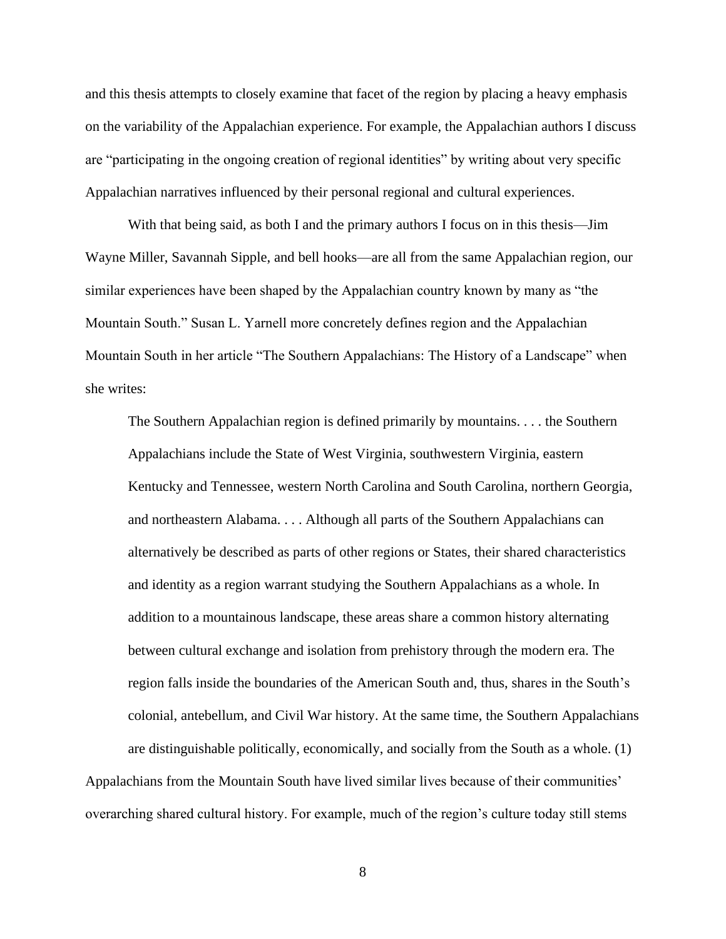and this thesis attempts to closely examine that facet of the region by placing a heavy emphasis on the variability of the Appalachian experience. For example, the Appalachian authors I discuss are "participating in the ongoing creation of regional identities" by writing about very specific Appalachian narratives influenced by their personal regional and cultural experiences.

With that being said, as both I and the primary authors I focus on in this thesis—Jim Wayne Miller, Savannah Sipple, and bell hooks—are all from the same Appalachian region, our similar experiences have been shaped by the Appalachian country known by many as "the Mountain South." Susan L. Yarnell more concretely defines region and the Appalachian Mountain South in her article "The Southern Appalachians: The History of a Landscape" when she writes:

The Southern Appalachian region is defined primarily by mountains. . . . the Southern Appalachians include the State of West Virginia, southwestern Virginia, eastern Kentucky and Tennessee, western North Carolina and South Carolina, northern Georgia, and northeastern Alabama. . . . Although all parts of the Southern Appalachians can alternatively be described as parts of other regions or States, their shared characteristics and identity as a region warrant studying the Southern Appalachians as a whole. In addition to a mountainous landscape, these areas share a common history alternating between cultural exchange and isolation from prehistory through the modern era. The region falls inside the boundaries of the American South and, thus, shares in the South's colonial, antebellum, and Civil War history. At the same time, the Southern Appalachians are distinguishable politically, economically, and socially from the South as a whole. (1)

Appalachians from the Mountain South have lived similar lives because of their communities' overarching shared cultural history. For example, much of the region's culture today still stems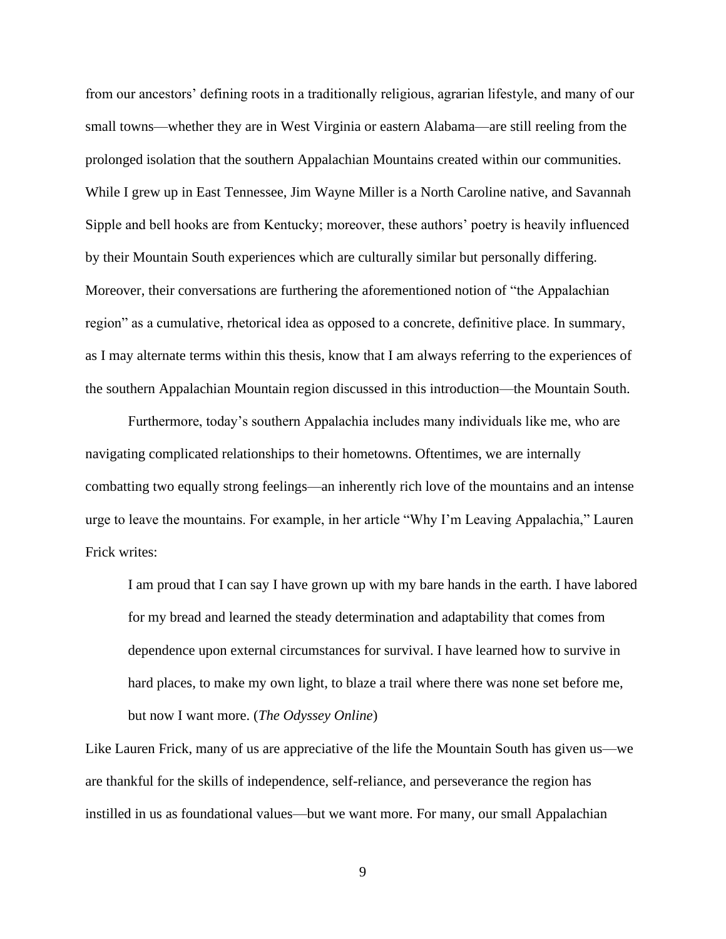from our ancestors' defining roots in a traditionally religious, agrarian lifestyle, and many of our small towns—whether they are in West Virginia or eastern Alabama—are still reeling from the prolonged isolation that the southern Appalachian Mountains created within our communities. While I grew up in East Tennessee, Jim Wayne Miller is a North Caroline native, and Savannah Sipple and bell hooks are from Kentucky; moreover, these authors' poetry is heavily influenced by their Mountain South experiences which are culturally similar but personally differing. Moreover, their conversations are furthering the aforementioned notion of "the Appalachian region" as a cumulative, rhetorical idea as opposed to a concrete, definitive place. In summary, as I may alternate terms within this thesis, know that I am always referring to the experiences of the southern Appalachian Mountain region discussed in this introduction—the Mountain South.

Furthermore, today's southern Appalachia includes many individuals like me, who are navigating complicated relationships to their hometowns. Oftentimes, we are internally combatting two equally strong feelings—an inherently rich love of the mountains and an intense urge to leave the mountains. For example, in her article "Why I'm Leaving Appalachia," Lauren Frick writes:

I am proud that I can say I have grown up with my bare hands in the earth. I have labored for my bread and learned the steady determination and adaptability that comes from dependence upon external circumstances for survival. I have learned how to survive in hard places, to make my own light, to blaze a trail where there was none set before me, but now I want more. (*The Odyssey Online*)

Like Lauren Frick, many of us are appreciative of the life the Mountain South has given us—we are thankful for the skills of independence, self-reliance, and perseverance the region has instilled in us as foundational values—but we want more. For many, our small Appalachian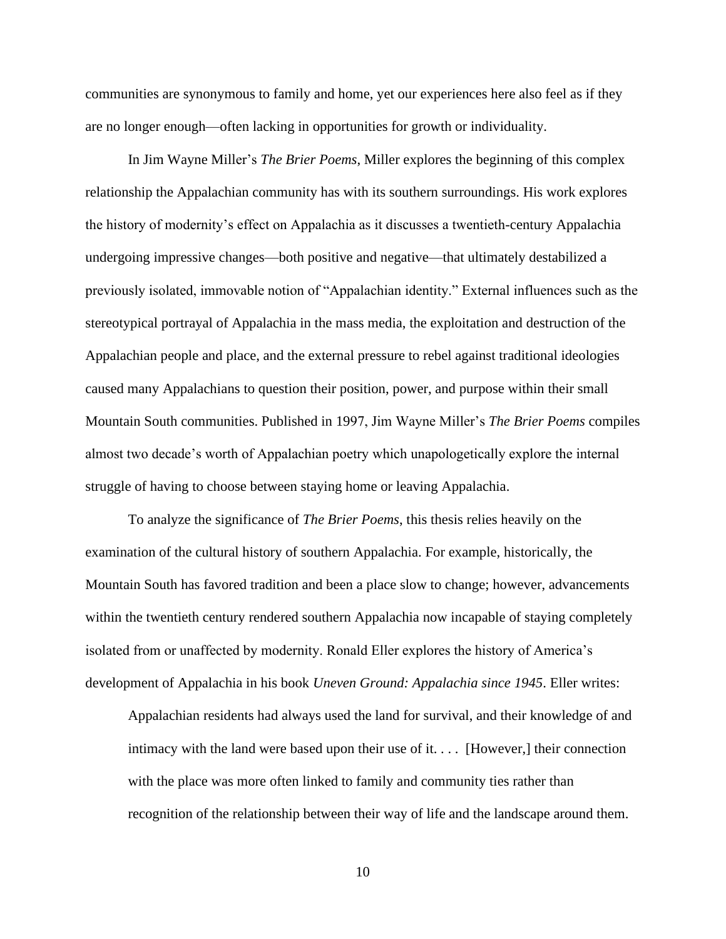communities are synonymous to family and home, yet our experiences here also feel as if they are no longer enough—often lacking in opportunities for growth or individuality.

In Jim Wayne Miller's *The Brier Poems*, Miller explores the beginning of this complex relationship the Appalachian community has with its southern surroundings. His work explores the history of modernity's effect on Appalachia as it discusses a twentieth-century Appalachia undergoing impressive changes—both positive and negative—that ultimately destabilized a previously isolated, immovable notion of "Appalachian identity." External influences such as the stereotypical portrayal of Appalachia in the mass media, the exploitation and destruction of the Appalachian people and place, and the external pressure to rebel against traditional ideologies caused many Appalachians to question their position, power, and purpose within their small Mountain South communities. Published in 1997, Jim Wayne Miller's *The Brier Poems* compiles almost two decade's worth of Appalachian poetry which unapologetically explore the internal struggle of having to choose between staying home or leaving Appalachia.

To analyze the significance of *The Brier Poems*, this thesis relies heavily on the examination of the cultural history of southern Appalachia. For example, historically, the Mountain South has favored tradition and been a place slow to change; however, advancements within the twentieth century rendered southern Appalachia now incapable of staying completely isolated from or unaffected by modernity. Ronald Eller explores the history of America's development of Appalachia in his book *Uneven Ground: Appalachia since 1945*. Eller writes:

Appalachian residents had always used the land for survival, and their knowledge of and intimacy with the land were based upon their use of it. . . . [However,] their connection with the place was more often linked to family and community ties rather than recognition of the relationship between their way of life and the landscape around them.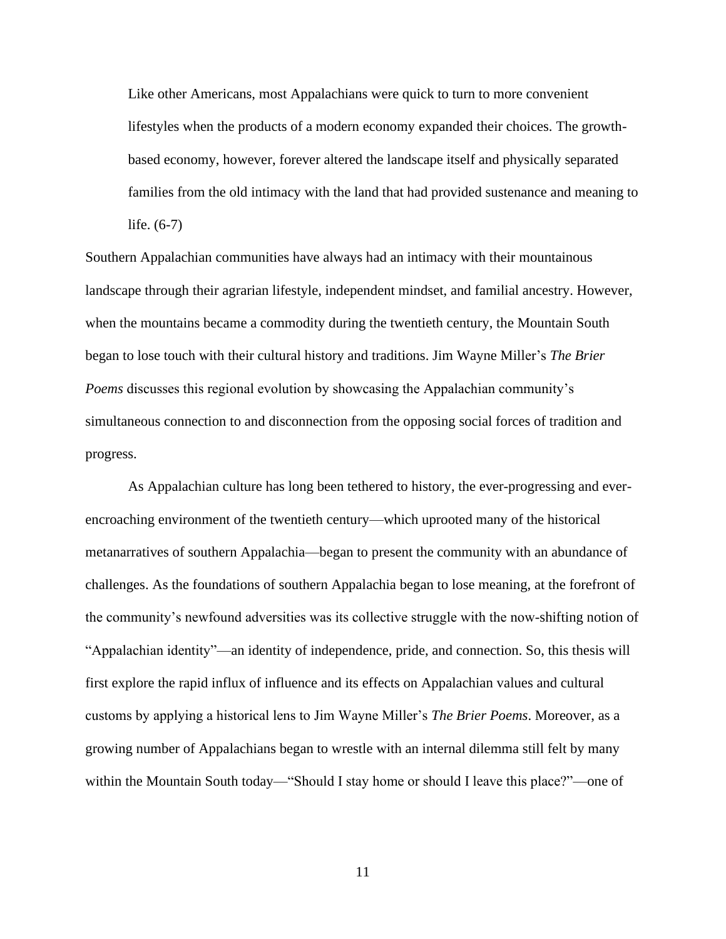Like other Americans, most Appalachians were quick to turn to more convenient lifestyles when the products of a modern economy expanded their choices. The growthbased economy, however, forever altered the landscape itself and physically separated families from the old intimacy with the land that had provided sustenance and meaning to life. (6-7)

Southern Appalachian communities have always had an intimacy with their mountainous landscape through their agrarian lifestyle, independent mindset, and familial ancestry. However, when the mountains became a commodity during the twentieth century, the Mountain South began to lose touch with their cultural history and traditions. Jim Wayne Miller's *The Brier Poems* discusses this regional evolution by showcasing the Appalachian community's simultaneous connection to and disconnection from the opposing social forces of tradition and progress.

As Appalachian culture has long been tethered to history, the ever-progressing and everencroaching environment of the twentieth century—which uprooted many of the historical metanarratives of southern Appalachia—began to present the community with an abundance of challenges. As the foundations of southern Appalachia began to lose meaning, at the forefront of the community's newfound adversities was its collective struggle with the now-shifting notion of "Appalachian identity"—an identity of independence, pride, and connection. So, this thesis will first explore the rapid influx of influence and its effects on Appalachian values and cultural customs by applying a historical lens to Jim Wayne Miller's *The Brier Poems*. Moreover, as a growing number of Appalachians began to wrestle with an internal dilemma still felt by many within the Mountain South today—"Should I stay home or should I leave this place?"—one of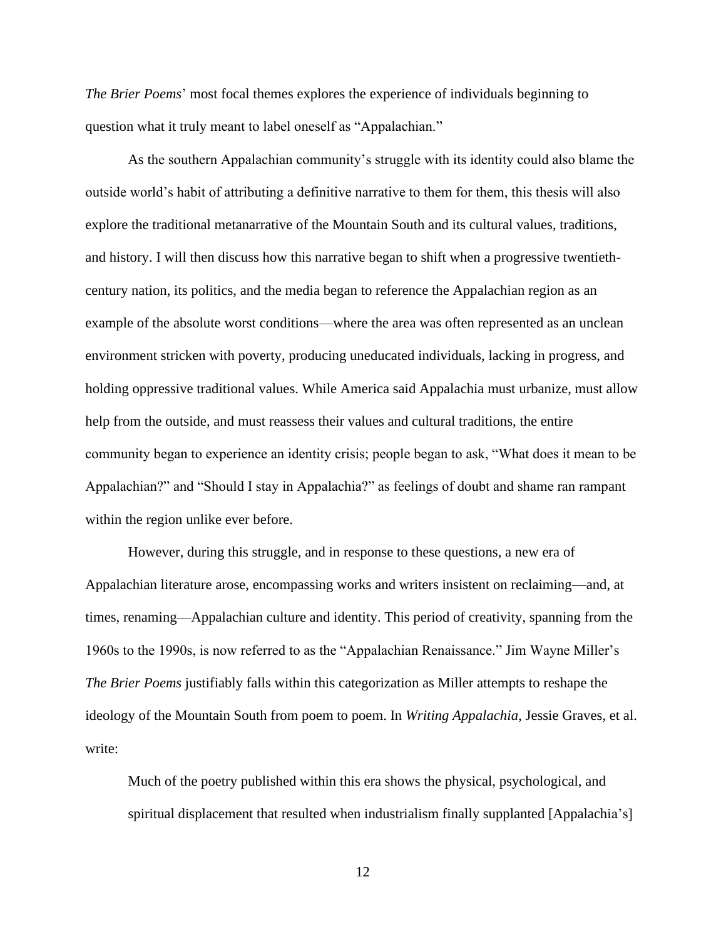*The Brier Poems*' most focal themes explores the experience of individuals beginning to question what it truly meant to label oneself as "Appalachian."

As the southern Appalachian community's struggle with its identity could also blame the outside world's habit of attributing a definitive narrative to them for them, this thesis will also explore the traditional metanarrative of the Mountain South and its cultural values, traditions, and history. I will then discuss how this narrative began to shift when a progressive twentiethcentury nation, its politics, and the media began to reference the Appalachian region as an example of the absolute worst conditions—where the area was often represented as an unclean environment stricken with poverty, producing uneducated individuals, lacking in progress, and holding oppressive traditional values. While America said Appalachia must urbanize, must allow help from the outside, and must reassess their values and cultural traditions, the entire community began to experience an identity crisis; people began to ask, "What does it mean to be Appalachian?" and "Should I stay in Appalachia?" as feelings of doubt and shame ran rampant within the region unlike ever before.

However, during this struggle, and in response to these questions, a new era of Appalachian literature arose, encompassing works and writers insistent on reclaiming—and, at times, renaming—Appalachian culture and identity. This period of creativity, spanning from the 1960s to the 1990s, is now referred to as the "Appalachian Renaissance." Jim Wayne Miller's *The Brier Poems* justifiably falls within this categorization as Miller attempts to reshape the ideology of the Mountain South from poem to poem. In *Writing Appalachia*, Jessie Graves, et al. write:

Much of the poetry published within this era shows the physical, psychological, and spiritual displacement that resulted when industrialism finally supplanted [Appalachia's]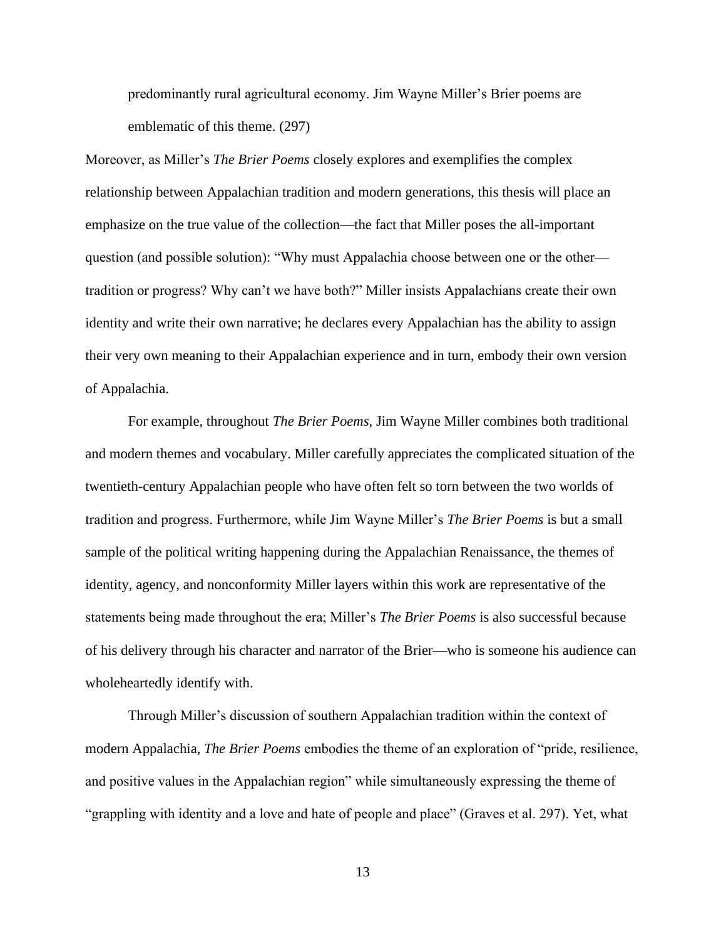predominantly rural agricultural economy. Jim Wayne Miller's Brier poems are emblematic of this theme. (297)

Moreover, as Miller's *The Brier Poems* closely explores and exemplifies the complex relationship between Appalachian tradition and modern generations, this thesis will place an emphasize on the true value of the collection—the fact that Miller poses the all-important question (and possible solution): "Why must Appalachia choose between one or the other tradition or progress? Why can't we have both?" Miller insists Appalachians create their own identity and write their own narrative; he declares every Appalachian has the ability to assign their very own meaning to their Appalachian experience and in turn, embody their own version of Appalachia.

For example, throughout *The Brier Poems*, Jim Wayne Miller combines both traditional and modern themes and vocabulary. Miller carefully appreciates the complicated situation of the twentieth-century Appalachian people who have often felt so torn between the two worlds of tradition and progress. Furthermore, while Jim Wayne Miller's *The Brier Poems* is but a small sample of the political writing happening during the Appalachian Renaissance, the themes of identity, agency, and nonconformity Miller layers within this work are representative of the statements being made throughout the era; Miller's *The Brier Poems* is also successful because of his delivery through his character and narrator of the Brier—who is someone his audience can wholeheartedly identify with.

Through Miller's discussion of southern Appalachian tradition within the context of modern Appalachia, *The Brier Poems* embodies the theme of an exploration of "pride, resilience, and positive values in the Appalachian region" while simultaneously expressing the theme of "grappling with identity and a love and hate of people and place" (Graves et al. 297). Yet, what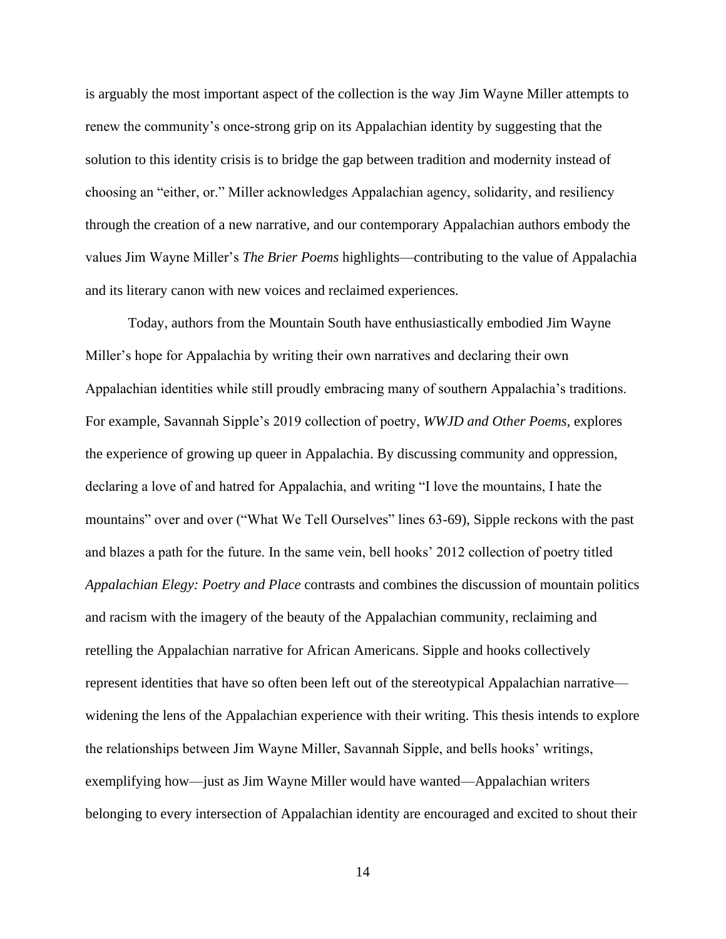is arguably the most important aspect of the collection is the way Jim Wayne Miller attempts to renew the community's once-strong grip on its Appalachian identity by suggesting that the solution to this identity crisis is to bridge the gap between tradition and modernity instead of choosing an "either, or." Miller acknowledges Appalachian agency, solidarity, and resiliency through the creation of a new narrative, and our contemporary Appalachian authors embody the values Jim Wayne Miller's *The Brier Poems* highlights—contributing to the value of Appalachia and its literary canon with new voices and reclaimed experiences.

Today, authors from the Mountain South have enthusiastically embodied Jim Wayne Miller's hope for Appalachia by writing their own narratives and declaring their own Appalachian identities while still proudly embracing many of southern Appalachia's traditions. For example, Savannah Sipple's 2019 collection of poetry, *WWJD and Other Poems*, explores the experience of growing up queer in Appalachia. By discussing community and oppression, declaring a love of and hatred for Appalachia, and writing "I love the mountains, I hate the mountains" over and over ("What We Tell Ourselves" lines 63-69), Sipple reckons with the past and blazes a path for the future. In the same vein, bell hooks' 2012 collection of poetry titled *Appalachian Elegy: Poetry and Place* contrasts and combines the discussion of mountain politics and racism with the imagery of the beauty of the Appalachian community, reclaiming and retelling the Appalachian narrative for African Americans. Sipple and hooks collectively represent identities that have so often been left out of the stereotypical Appalachian narrative widening the lens of the Appalachian experience with their writing. This thesis intends to explore the relationships between Jim Wayne Miller, Savannah Sipple, and bells hooks' writings, exemplifying how—just as Jim Wayne Miller would have wanted—Appalachian writers belonging to every intersection of Appalachian identity are encouraged and excited to shout their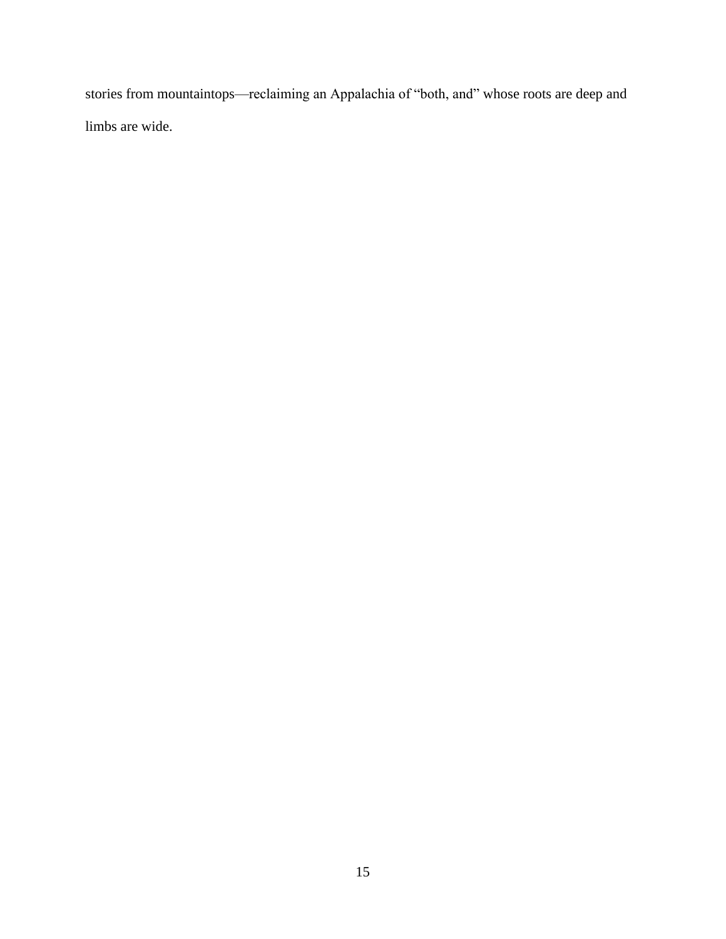stories from mountaintops—reclaiming an Appalachia of "both, and" whose roots are deep and limbs are wide.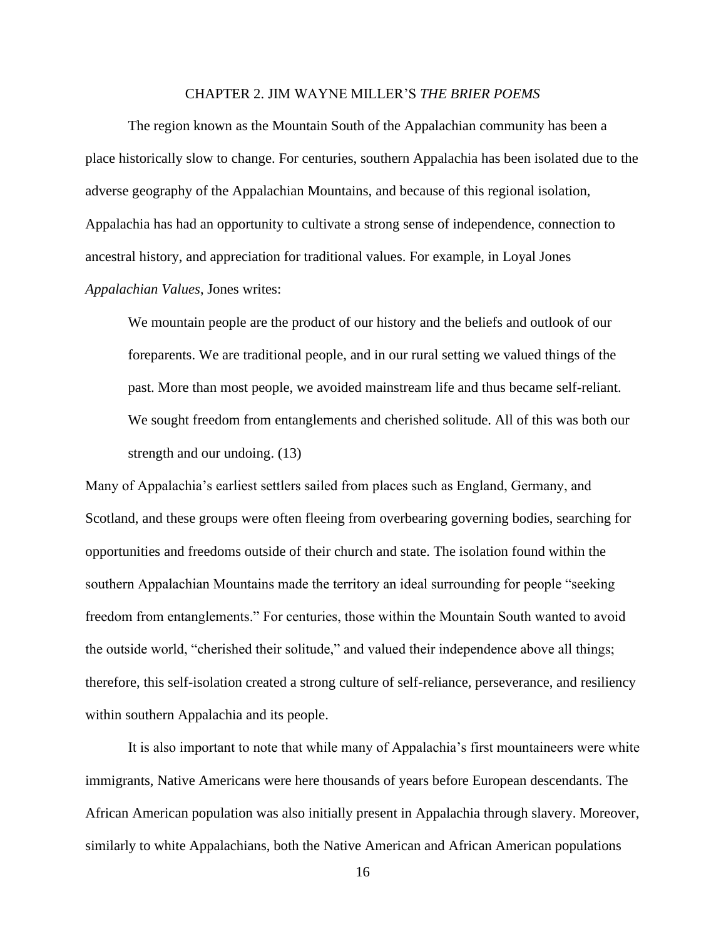#### CHAPTER 2. JIM WAYNE MILLER'S *THE BRIER POEMS*

The region known as the Mountain South of the Appalachian community has been a place historically slow to change. For centuries, southern Appalachia has been isolated due to the adverse geography of the Appalachian Mountains, and because of this regional isolation, Appalachia has had an opportunity to cultivate a strong sense of independence, connection to ancestral history, and appreciation for traditional values. For example, in Loyal Jones *Appalachian Values*, Jones writes:

We mountain people are the product of our history and the beliefs and outlook of our foreparents. We are traditional people, and in our rural setting we valued things of the past. More than most people, we avoided mainstream life and thus became self-reliant. We sought freedom from entanglements and cherished solitude. All of this was both our strength and our undoing. (13)

Many of Appalachia's earliest settlers sailed from places such as England, Germany, and Scotland, and these groups were often fleeing from overbearing governing bodies, searching for opportunities and freedoms outside of their church and state. The isolation found within the southern Appalachian Mountains made the territory an ideal surrounding for people "seeking freedom from entanglements." For centuries, those within the Mountain South wanted to avoid the outside world, "cherished their solitude," and valued their independence above all things; therefore, this self-isolation created a strong culture of self-reliance, perseverance, and resiliency within southern Appalachia and its people.

It is also important to note that while many of Appalachia's first mountaineers were white immigrants, Native Americans were here thousands of years before European descendants. The African American population was also initially present in Appalachia through slavery. Moreover, similarly to white Appalachians, both the Native American and African American populations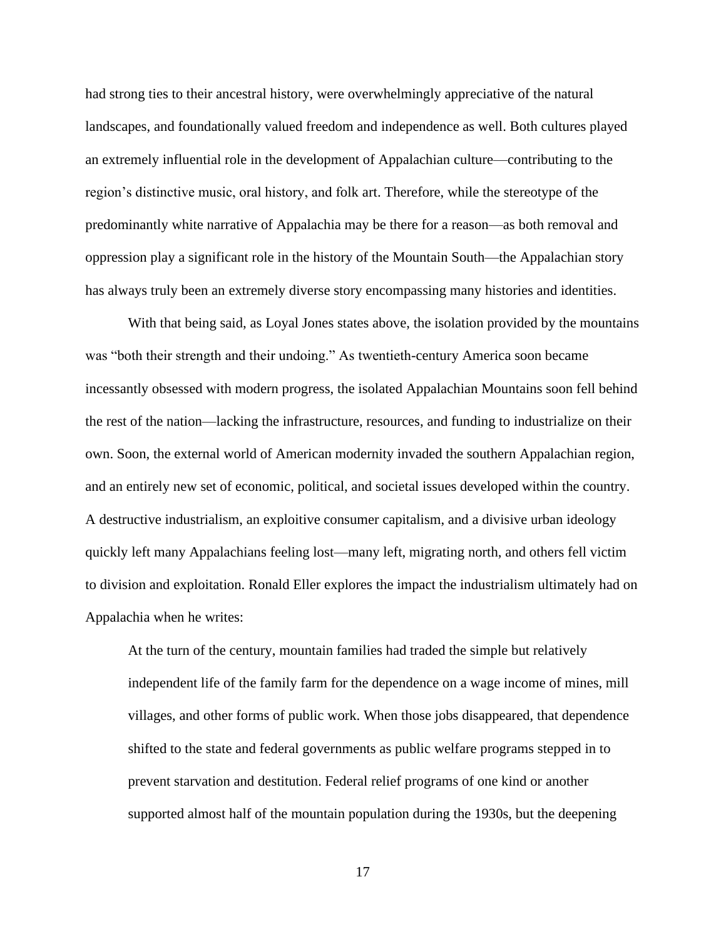had strong ties to their ancestral history, were overwhelmingly appreciative of the natural landscapes, and foundationally valued freedom and independence as well. Both cultures played an extremely influential role in the development of Appalachian culture—contributing to the region's distinctive music, oral history, and folk art. Therefore, while the stereotype of the predominantly white narrative of Appalachia may be there for a reason—as both removal and oppression play a significant role in the history of the Mountain South—the Appalachian story has always truly been an extremely diverse story encompassing many histories and identities.

With that being said, as Loyal Jones states above, the isolation provided by the mountains was "both their strength and their undoing." As twentieth-century America soon became incessantly obsessed with modern progress, the isolated Appalachian Mountains soon fell behind the rest of the nation—lacking the infrastructure, resources, and funding to industrialize on their own. Soon, the external world of American modernity invaded the southern Appalachian region, and an entirely new set of economic, political, and societal issues developed within the country. A destructive industrialism, an exploitive consumer capitalism, and a divisive urban ideology quickly left many Appalachians feeling lost—many left, migrating north, and others fell victim to division and exploitation. Ronald Eller explores the impact the industrialism ultimately had on Appalachia when he writes:

At the turn of the century, mountain families had traded the simple but relatively independent life of the family farm for the dependence on a wage income of mines, mill villages, and other forms of public work. When those jobs disappeared, that dependence shifted to the state and federal governments as public welfare programs stepped in to prevent starvation and destitution. Federal relief programs of one kind or another supported almost half of the mountain population during the 1930s, but the deepening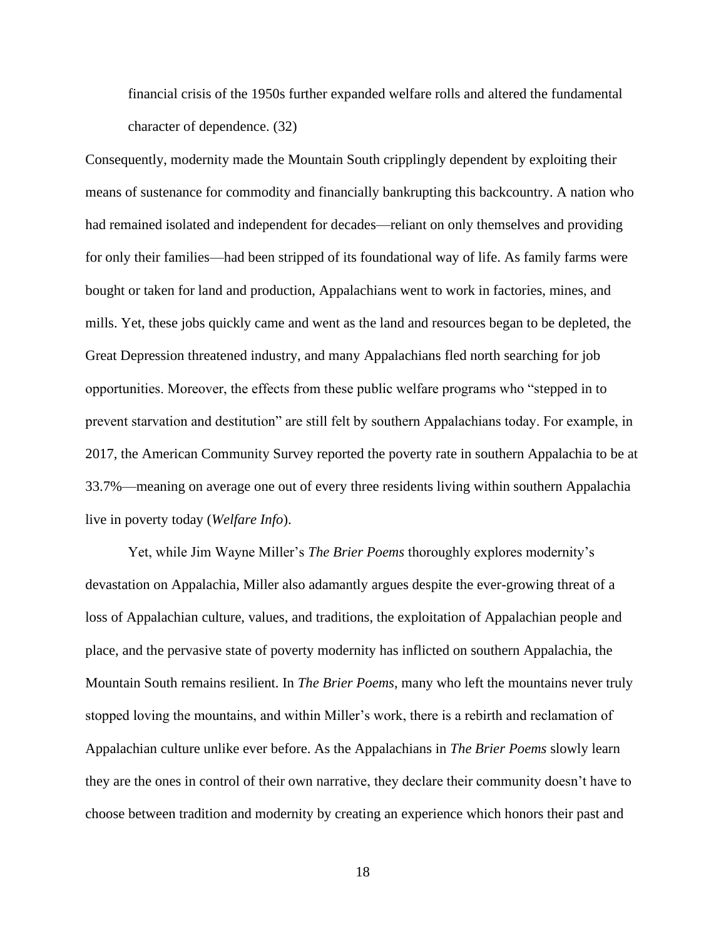financial crisis of the 1950s further expanded welfare rolls and altered the fundamental character of dependence. (32)

Consequently, modernity made the Mountain South cripplingly dependent by exploiting their means of sustenance for commodity and financially bankrupting this backcountry. A nation who had remained isolated and independent for decades—reliant on only themselves and providing for only their families—had been stripped of its foundational way of life. As family farms were bought or taken for land and production, Appalachians went to work in factories, mines, and mills. Yet, these jobs quickly came and went as the land and resources began to be depleted, the Great Depression threatened industry, and many Appalachians fled north searching for job opportunities. Moreover, the effects from these public welfare programs who "stepped in to prevent starvation and destitution" are still felt by southern Appalachians today. For example, in 2017, the American Community Survey reported the poverty rate in southern Appalachia to be at 33.7%—meaning on average one out of every three residents living within southern Appalachia live in poverty today (*Welfare Info*).

Yet, while Jim Wayne Miller's *The Brier Poems* thoroughly explores modernity's devastation on Appalachia, Miller also adamantly argues despite the ever-growing threat of a loss of Appalachian culture, values, and traditions, the exploitation of Appalachian people and place, and the pervasive state of poverty modernity has inflicted on southern Appalachia, the Mountain South remains resilient. In *The Brier Poems*, many who left the mountains never truly stopped loving the mountains, and within Miller's work, there is a rebirth and reclamation of Appalachian culture unlike ever before. As the Appalachians in *The Brier Poems* slowly learn they are the ones in control of their own narrative, they declare their community doesn't have to choose between tradition and modernity by creating an experience which honors their past and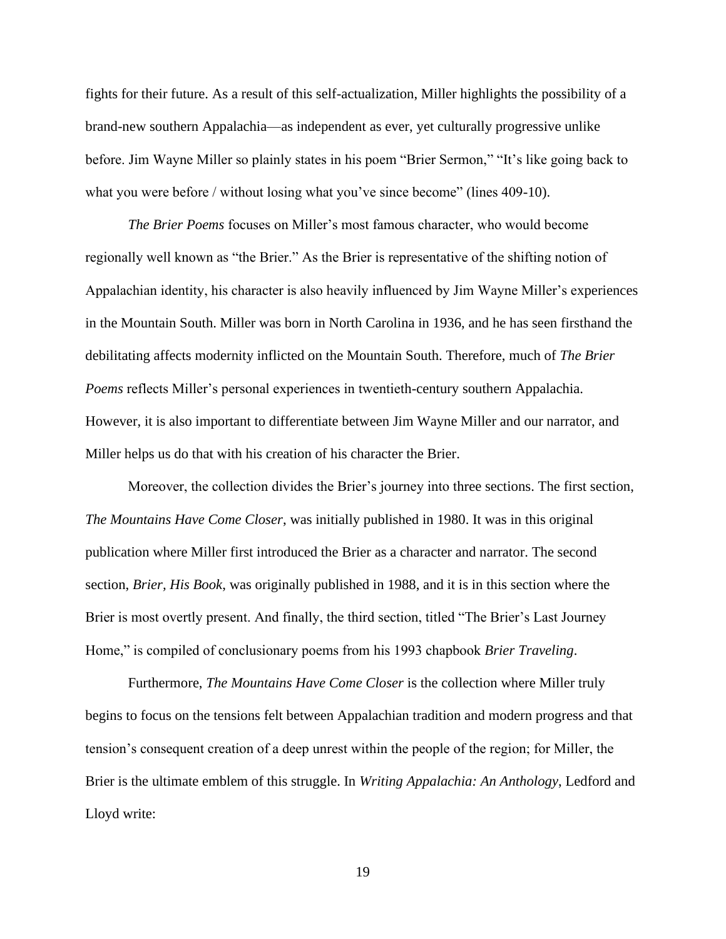fights for their future. As a result of this self-actualization, Miller highlights the possibility of a brand-new southern Appalachia—as independent as ever, yet culturally progressive unlike before. Jim Wayne Miller so plainly states in his poem "Brier Sermon," "It's like going back to what you were before / without losing what you've since become" (lines 409-10).

*The Brier Poems* focuses on Miller's most famous character, who would become regionally well known as "the Brier." As the Brier is representative of the shifting notion of Appalachian identity, his character is also heavily influenced by Jim Wayne Miller's experiences in the Mountain South. Miller was born in North Carolina in 1936, and he has seen firsthand the debilitating affects modernity inflicted on the Mountain South. Therefore, much of *The Brier Poems* reflects Miller's personal experiences in twentieth-century southern Appalachia. However, it is also important to differentiate between Jim Wayne Miller and our narrator, and Miller helps us do that with his creation of his character the Brier.

Moreover, the collection divides the Brier's journey into three sections. The first section, *The Mountains Have Come Closer*, was initially published in 1980. It was in this original publication where Miller first introduced the Brier as a character and narrator. The second section, *Brier, His Book*, was originally published in 1988, and it is in this section where the Brier is most overtly present. And finally, the third section, titled "The Brier's Last Journey Home," is compiled of conclusionary poems from his 1993 chapbook *Brier Traveling*.

Furthermore, *The Mountains Have Come Closer* is the collection where Miller truly begins to focus on the tensions felt between Appalachian tradition and modern progress and that tension's consequent creation of a deep unrest within the people of the region; for Miller, the Brier is the ultimate emblem of this struggle. In *Writing Appalachia: An Anthology*, Ledford and Lloyd write: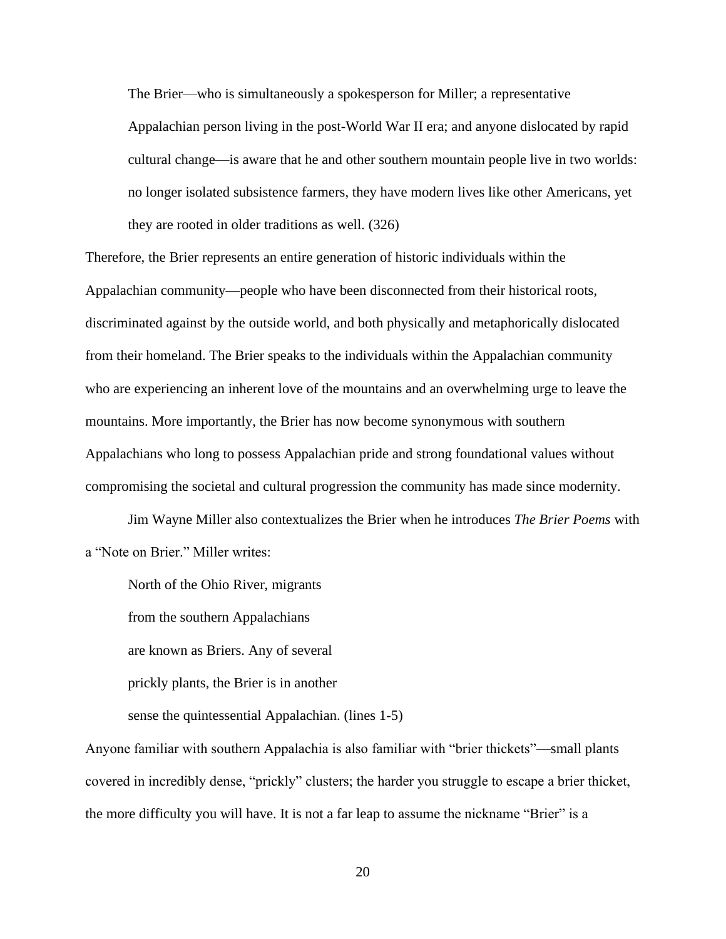The Brier—who is simultaneously a spokesperson for Miller; a representative Appalachian person living in the post-World War II era; and anyone dislocated by rapid cultural change—is aware that he and other southern mountain people live in two worlds: no longer isolated subsistence farmers, they have modern lives like other Americans, yet they are rooted in older traditions as well. (326)

Therefore, the Brier represents an entire generation of historic individuals within the Appalachian community—people who have been disconnected from their historical roots, discriminated against by the outside world, and both physically and metaphorically dislocated from their homeland. The Brier speaks to the individuals within the Appalachian community who are experiencing an inherent love of the mountains and an overwhelming urge to leave the mountains. More importantly, the Brier has now become synonymous with southern Appalachians who long to possess Appalachian pride and strong foundational values without compromising the societal and cultural progression the community has made since modernity.

Jim Wayne Miller also contextualizes the Brier when he introduces *The Brier Poems* with a "Note on Brier." Miller writes:

North of the Ohio River, migrants from the southern Appalachians are known as Briers. Any of several prickly plants, the Brier is in another sense the quintessential Appalachian. (lines 1-5)

Anyone familiar with southern Appalachia is also familiar with "brier thickets"—small plants covered in incredibly dense, "prickly" clusters; the harder you struggle to escape a brier thicket, the more difficulty you will have. It is not a far leap to assume the nickname "Brier" is a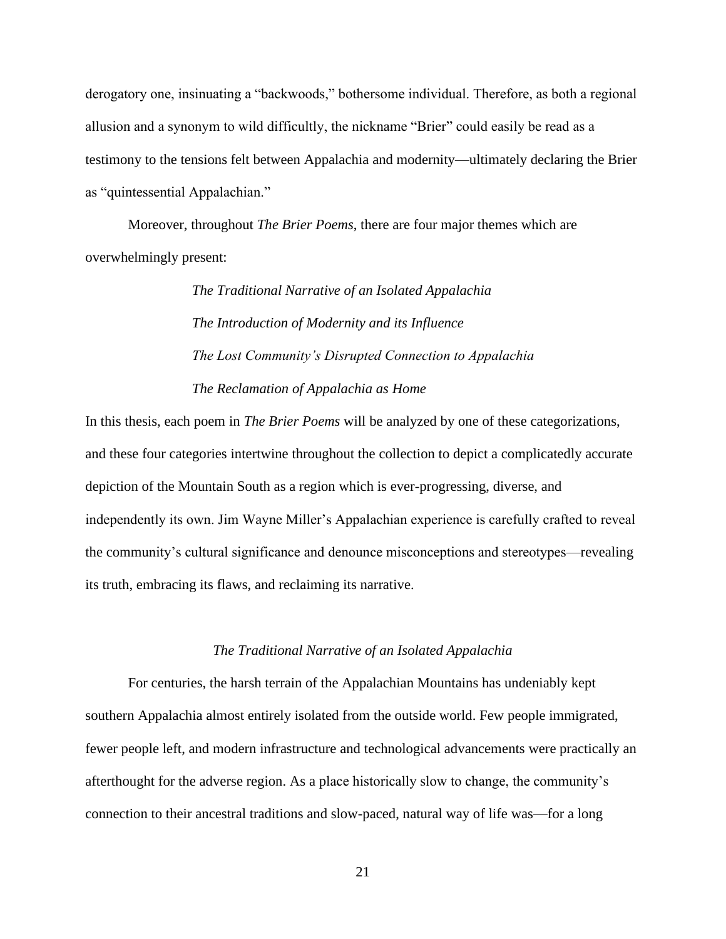derogatory one, insinuating a "backwoods," bothersome individual. Therefore, as both a regional allusion and a synonym to wild difficultly, the nickname "Brier" could easily be read as a testimony to the tensions felt between Appalachia and modernity—ultimately declaring the Brier as "quintessential Appalachian."

Moreover, throughout *The Brier Poems*, there are four major themes which are overwhelmingly present:

> *The Traditional Narrative of an Isolated Appalachia The Introduction of Modernity and its Influence The Lost Community's Disrupted Connection to Appalachia The Reclamation of Appalachia as Home*

In this thesis, each poem in *The Brier Poems* will be analyzed by one of these categorizations, and these four categories intertwine throughout the collection to depict a complicatedly accurate depiction of the Mountain South as a region which is ever-progressing, diverse, and independently its own. Jim Wayne Miller's Appalachian experience is carefully crafted to reveal the community's cultural significance and denounce misconceptions and stereotypes—revealing its truth, embracing its flaws, and reclaiming its narrative.

#### *The Traditional Narrative of an Isolated Appalachia*

For centuries, the harsh terrain of the Appalachian Mountains has undeniably kept southern Appalachia almost entirely isolated from the outside world. Few people immigrated, fewer people left, and modern infrastructure and technological advancements were practically an afterthought for the adverse region. As a place historically slow to change, the community's connection to their ancestral traditions and slow-paced, natural way of life was—for a long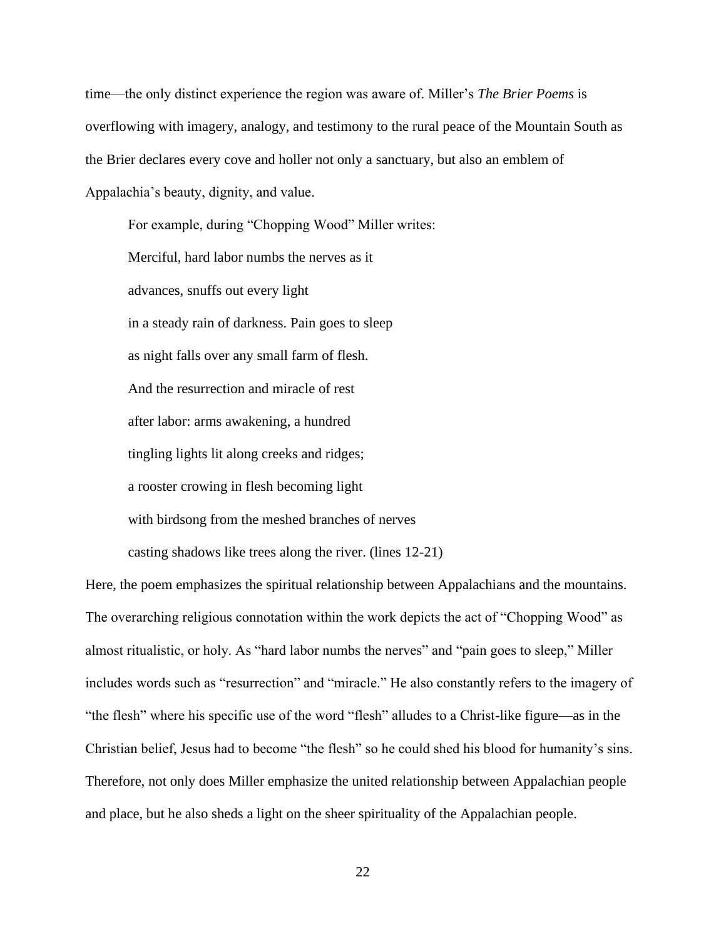time—the only distinct experience the region was aware of. Miller's *The Brier Poems* is overflowing with imagery, analogy, and testimony to the rural peace of the Mountain South as the Brier declares every cove and holler not only a sanctuary, but also an emblem of Appalachia's beauty, dignity, and value.

For example, during "Chopping Wood" Miller writes: Merciful, hard labor numbs the nerves as it advances, snuffs out every light in a steady rain of darkness. Pain goes to sleep as night falls over any small farm of flesh. And the resurrection and miracle of rest after labor: arms awakening, a hundred tingling lights lit along creeks and ridges; a rooster crowing in flesh becoming light with birdsong from the meshed branches of nerves casting shadows like trees along the river. (lines 12-21)

Here, the poem emphasizes the spiritual relationship between Appalachians and the mountains. The overarching religious connotation within the work depicts the act of "Chopping Wood" as almost ritualistic, or holy. As "hard labor numbs the nerves" and "pain goes to sleep," Miller includes words such as "resurrection" and "miracle." He also constantly refers to the imagery of "the flesh" where his specific use of the word "flesh" alludes to a Christ-like figure—as in the Christian belief, Jesus had to become "the flesh" so he could shed his blood for humanity's sins. Therefore, not only does Miller emphasize the united relationship between Appalachian people and place, but he also sheds a light on the sheer spirituality of the Appalachian people.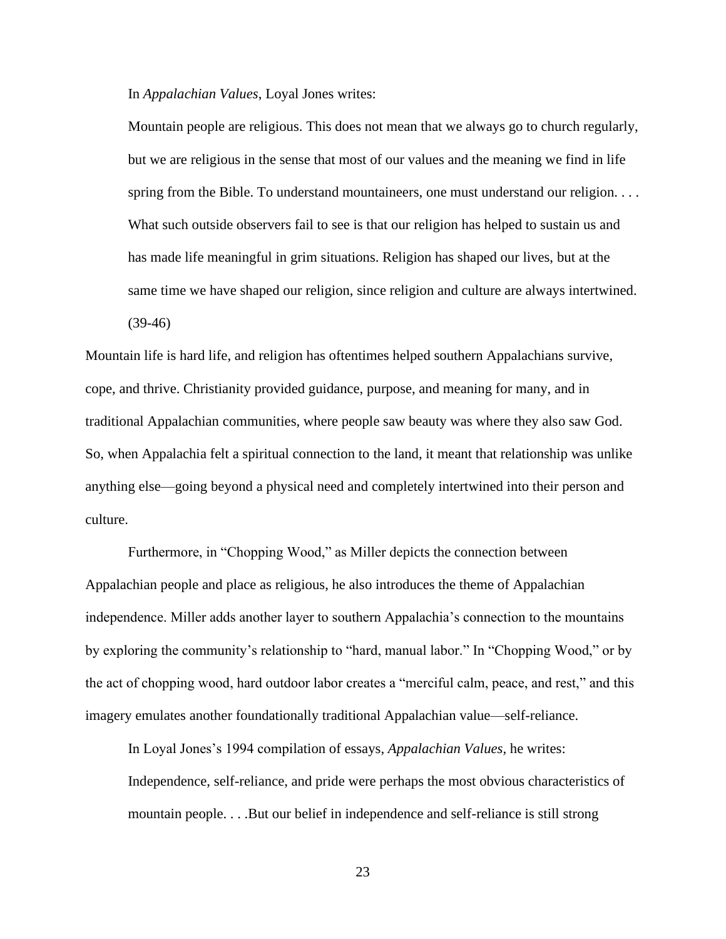In *Appalachian Values*, Loyal Jones writes:

Mountain people are religious. This does not mean that we always go to church regularly, but we are religious in the sense that most of our values and the meaning we find in life spring from the Bible. To understand mountaineers, one must understand our religion. . . . What such outside observers fail to see is that our religion has helped to sustain us and has made life meaningful in grim situations. Religion has shaped our lives, but at the same time we have shaped our religion, since religion and culture are always intertwined. (39-46)

Mountain life is hard life, and religion has oftentimes helped southern Appalachians survive, cope, and thrive. Christianity provided guidance, purpose, and meaning for many, and in traditional Appalachian communities, where people saw beauty was where they also saw God. So, when Appalachia felt a spiritual connection to the land, it meant that relationship was unlike anything else—going beyond a physical need and completely intertwined into their person and culture.

Furthermore, in "Chopping Wood," as Miller depicts the connection between Appalachian people and place as religious, he also introduces the theme of Appalachian independence. Miller adds another layer to southern Appalachia's connection to the mountains by exploring the community's relationship to "hard, manual labor." In "Chopping Wood," or by the act of chopping wood, hard outdoor labor creates a "merciful calm, peace, and rest," and this imagery emulates another foundationally traditional Appalachian value—self-reliance.

In Loyal Jones's 1994 compilation of essays, *Appalachian Values,* he writes:

Independence, self-reliance, and pride were perhaps the most obvious characteristics of mountain people. . . .But our belief in independence and self-reliance is still strong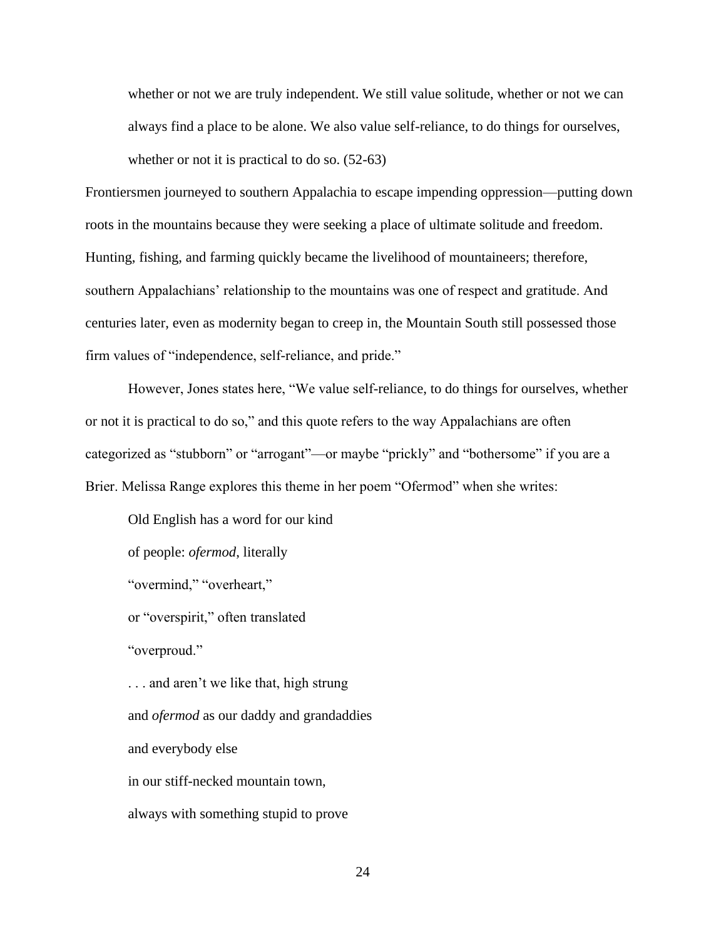whether or not we are truly independent. We still value solitude, whether or not we can always find a place to be alone. We also value self-reliance, to do things for ourselves, whether or not it is practical to do so. (52-63)

Frontiersmen journeyed to southern Appalachia to escape impending oppression—putting down roots in the mountains because they were seeking a place of ultimate solitude and freedom. Hunting, fishing, and farming quickly became the livelihood of mountaineers; therefore, southern Appalachians' relationship to the mountains was one of respect and gratitude. And centuries later, even as modernity began to creep in, the Mountain South still possessed those firm values of "independence, self-reliance, and pride."

However, Jones states here, "We value self-reliance, to do things for ourselves, whether or not it is practical to do so," and this quote refers to the way Appalachians are often categorized as "stubborn" or "arrogant"—or maybe "prickly" and "bothersome" if you are a Brier. Melissa Range explores this theme in her poem "Ofermod" when she writes:

Old English has a word for our kind of people: *ofermod*, literally "overmind," "overheart," or "overspirit," often translated "overproud." ... and aren't we like that, high strung and *ofermod* as our daddy and grandaddies and everybody else in our stiff-necked mountain town, always with something stupid to prove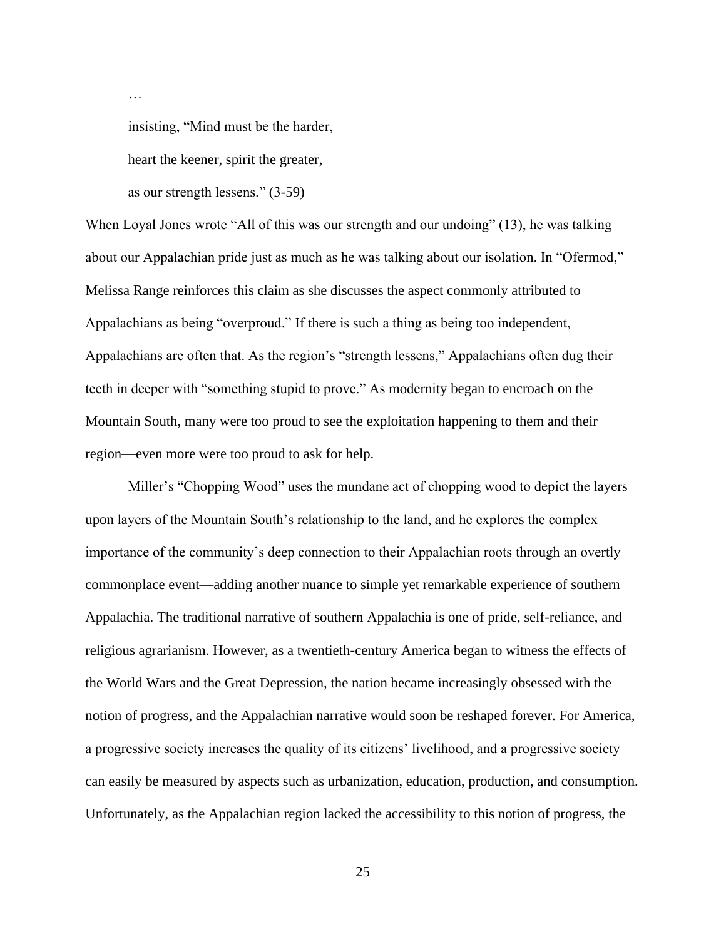…

insisting, "Mind must be the harder,

heart the keener, spirit the greater,

as our strength lessens." (3-59)

When Loyal Jones wrote "All of this was our strength and our undoing" (13), he was talking about our Appalachian pride just as much as he was talking about our isolation. In "Ofermod," Melissa Range reinforces this claim as she discusses the aspect commonly attributed to Appalachians as being "overproud." If there is such a thing as being too independent, Appalachians are often that. As the region's "strength lessens," Appalachians often dug their teeth in deeper with "something stupid to prove." As modernity began to encroach on the Mountain South, many were too proud to see the exploitation happening to them and their region—even more were too proud to ask for help.

Miller's "Chopping Wood" uses the mundane act of chopping wood to depict the layers upon layers of the Mountain South's relationship to the land, and he explores the complex importance of the community's deep connection to their Appalachian roots through an overtly commonplace event—adding another nuance to simple yet remarkable experience of southern Appalachia. The traditional narrative of southern Appalachia is one of pride, self-reliance, and religious agrarianism. However, as a twentieth-century America began to witness the effects of the World Wars and the Great Depression, the nation became increasingly obsessed with the notion of progress, and the Appalachian narrative would soon be reshaped forever. For America, a progressive society increases the quality of its citizens' livelihood, and a progressive society can easily be measured by aspects such as urbanization, education, production, and consumption. Unfortunately, as the Appalachian region lacked the accessibility to this notion of progress, the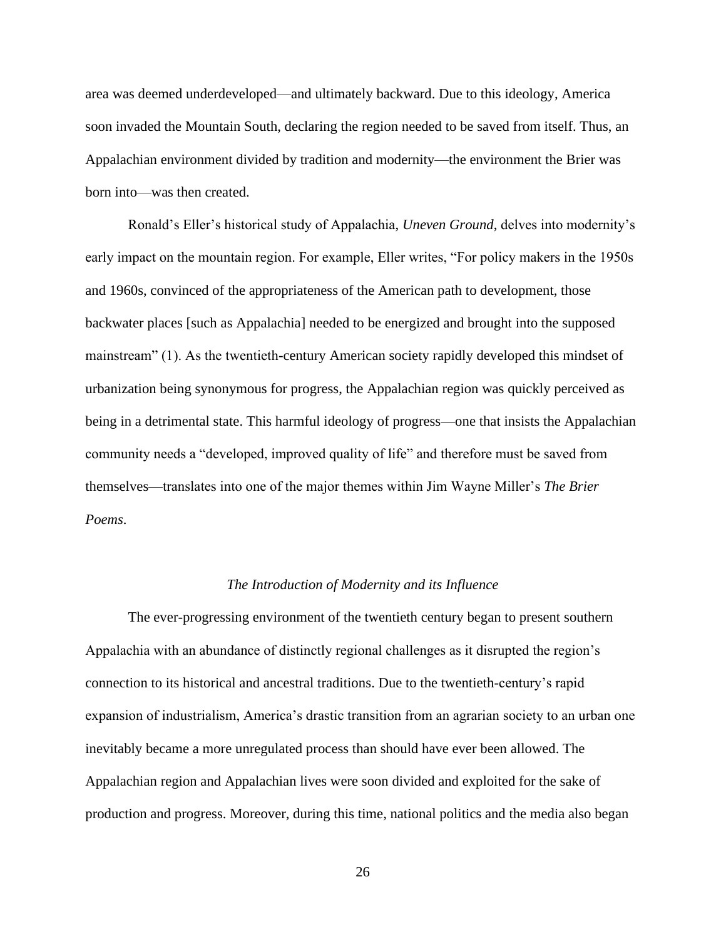area was deemed underdeveloped—and ultimately backward. Due to this ideology, America soon invaded the Mountain South, declaring the region needed to be saved from itself. Thus, an Appalachian environment divided by tradition and modernity—the environment the Brier was born into—was then created.

Ronald's Eller's historical study of Appalachia, *Uneven Ground*, delves into modernity's early impact on the mountain region. For example, Eller writes, "For policy makers in the 1950s and 1960s, convinced of the appropriateness of the American path to development, those backwater places [such as Appalachia] needed to be energized and brought into the supposed mainstream" (1). As the twentieth-century American society rapidly developed this mindset of urbanization being synonymous for progress, the Appalachian region was quickly perceived as being in a detrimental state. This harmful ideology of progress—one that insists the Appalachian community needs a "developed, improved quality of life" and therefore must be saved from themselves—translates into one of the major themes within Jim Wayne Miller's *The Brier Poems*.

#### *The Introduction of Modernity and its Influence*

The ever-progressing environment of the twentieth century began to present southern Appalachia with an abundance of distinctly regional challenges as it disrupted the region's connection to its historical and ancestral traditions. Due to the twentieth-century's rapid expansion of industrialism, America's drastic transition from an agrarian society to an urban one inevitably became a more unregulated process than should have ever been allowed. The Appalachian region and Appalachian lives were soon divided and exploited for the sake of production and progress. Moreover, during this time, national politics and the media also began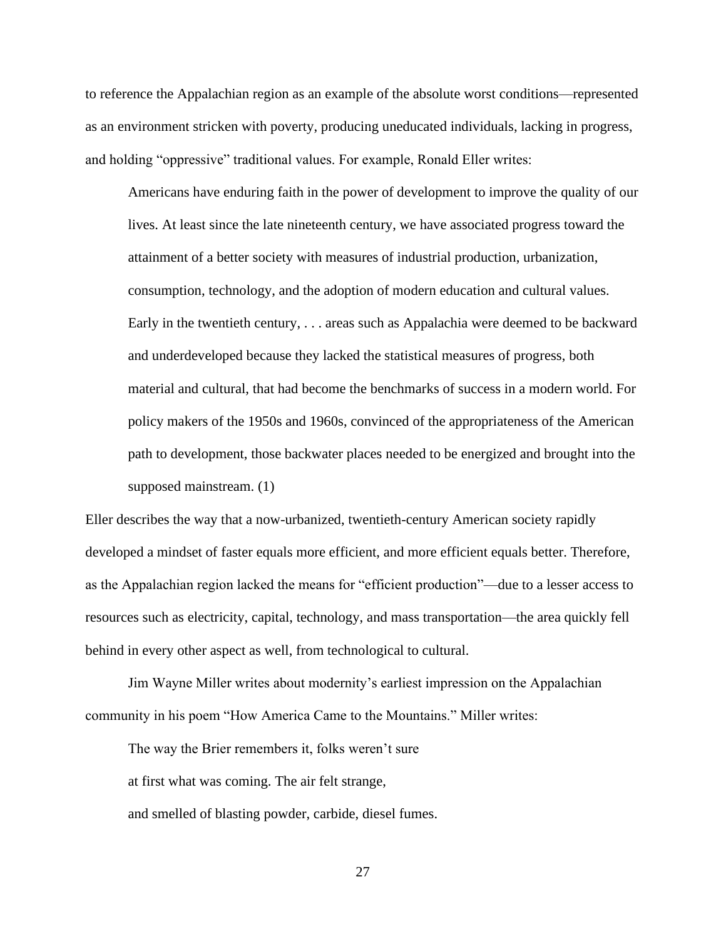to reference the Appalachian region as an example of the absolute worst conditions—represented as an environment stricken with poverty, producing uneducated individuals, lacking in progress, and holding "oppressive" traditional values. For example, Ronald Eller writes:

Americans have enduring faith in the power of development to improve the quality of our lives. At least since the late nineteenth century, we have associated progress toward the attainment of a better society with measures of industrial production, urbanization, consumption, technology, and the adoption of modern education and cultural values. Early in the twentieth century, . . . areas such as Appalachia were deemed to be backward and underdeveloped because they lacked the statistical measures of progress, both material and cultural, that had become the benchmarks of success in a modern world. For policy makers of the 1950s and 1960s, convinced of the appropriateness of the American path to development, those backwater places needed to be energized and brought into the supposed mainstream. (1)

Eller describes the way that a now-urbanized, twentieth-century American society rapidly developed a mindset of faster equals more efficient, and more efficient equals better. Therefore, as the Appalachian region lacked the means for "efficient production"—due to a lesser access to resources such as electricity, capital, technology, and mass transportation—the area quickly fell behind in every other aspect as well, from technological to cultural.

Jim Wayne Miller writes about modernity's earliest impression on the Appalachian community in his poem "How America Came to the Mountains." Miller writes:

The way the Brier remembers it, folks weren't sure

at first what was coming. The air felt strange,

and smelled of blasting powder, carbide, diesel fumes.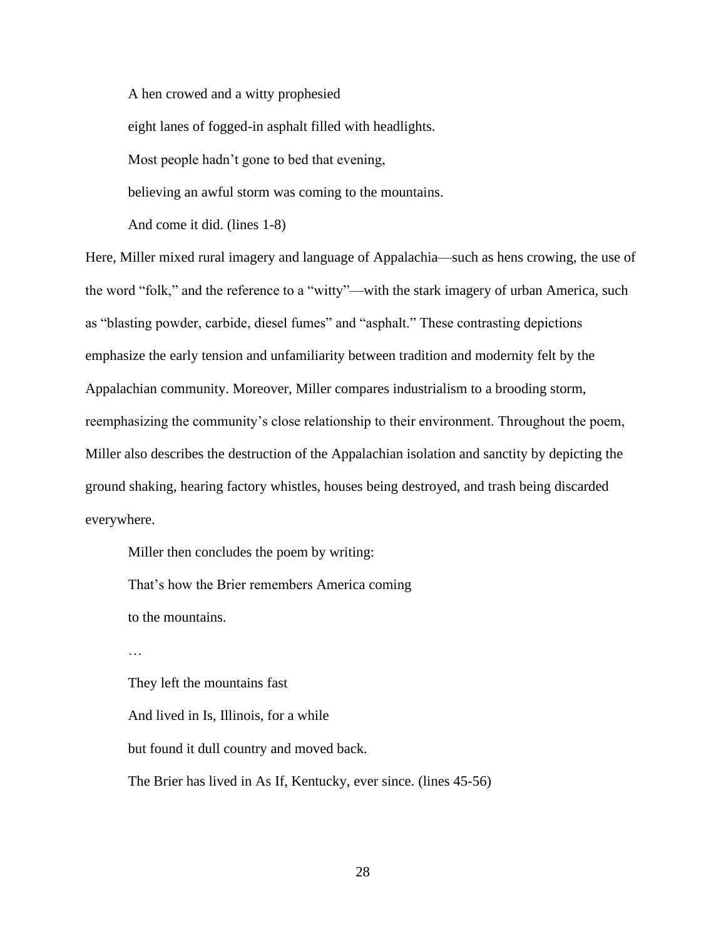A hen crowed and a witty prophesied

eight lanes of fogged-in asphalt filled with headlights.

Most people hadn't gone to bed that evening,

believing an awful storm was coming to the mountains.

And come it did. (lines 1-8)

Here, Miller mixed rural imagery and language of Appalachia—such as hens crowing, the use of the word "folk," and the reference to a "witty"—with the stark imagery of urban America, such as "blasting powder, carbide, diesel fumes" and "asphalt." These contrasting depictions emphasize the early tension and unfamiliarity between tradition and modernity felt by the Appalachian community. Moreover, Miller compares industrialism to a brooding storm, reemphasizing the community's close relationship to their environment. Throughout the poem, Miller also describes the destruction of the Appalachian isolation and sanctity by depicting the ground shaking, hearing factory whistles, houses being destroyed, and trash being discarded everywhere.

Miller then concludes the poem by writing:

That's how the Brier remembers America coming to the mountains.

…

They left the mountains fast And lived in Is, Illinois, for a while but found it dull country and moved back. The Brier has lived in As If, Kentucky, ever since. (lines 45-56)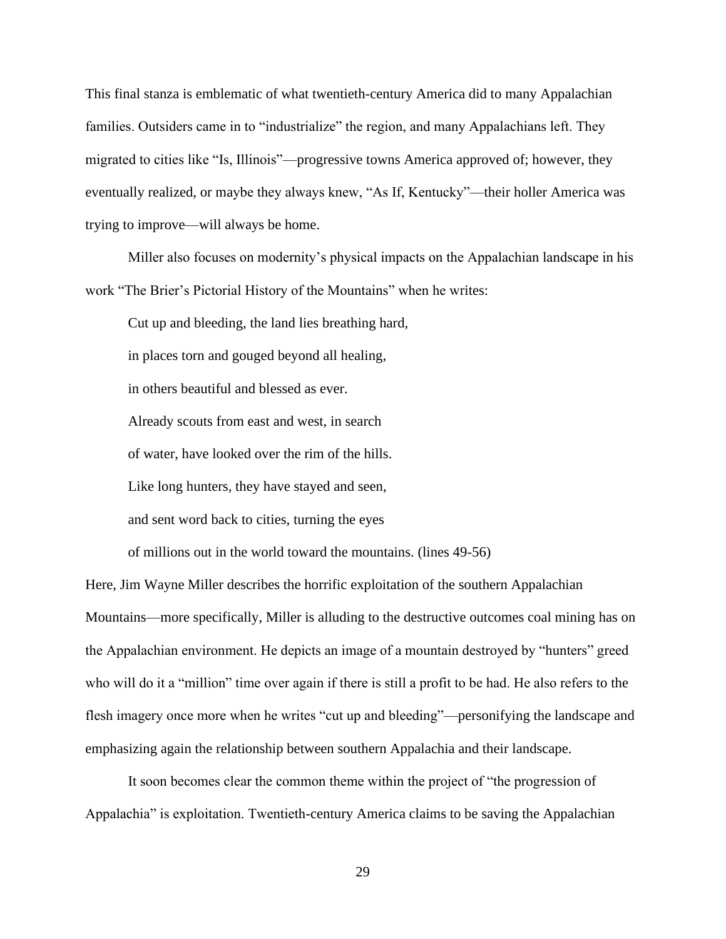This final stanza is emblematic of what twentieth-century America did to many Appalachian families. Outsiders came in to "industrialize" the region, and many Appalachians left. They migrated to cities like "Is, Illinois"—progressive towns America approved of; however, they eventually realized, or maybe they always knew, "As If, Kentucky"—their holler America was trying to improve—will always be home.

Miller also focuses on modernity's physical impacts on the Appalachian landscape in his work "The Brier's Pictorial History of the Mountains" when he writes:

Cut up and bleeding, the land lies breathing hard,

in places torn and gouged beyond all healing,

in others beautiful and blessed as ever.

Already scouts from east and west, in search

of water, have looked over the rim of the hills.

Like long hunters, they have stayed and seen,

and sent word back to cities, turning the eyes

of millions out in the world toward the mountains. (lines 49-56)

Here, Jim Wayne Miller describes the horrific exploitation of the southern Appalachian Mountains—more specifically, Miller is alluding to the destructive outcomes coal mining has on the Appalachian environment. He depicts an image of a mountain destroyed by "hunters" greed who will do it a "million" time over again if there is still a profit to be had. He also refers to the flesh imagery once more when he writes "cut up and bleeding"—personifying the landscape and emphasizing again the relationship between southern Appalachia and their landscape.

It soon becomes clear the common theme within the project of "the progression of Appalachia" is exploitation. Twentieth-century America claims to be saving the Appalachian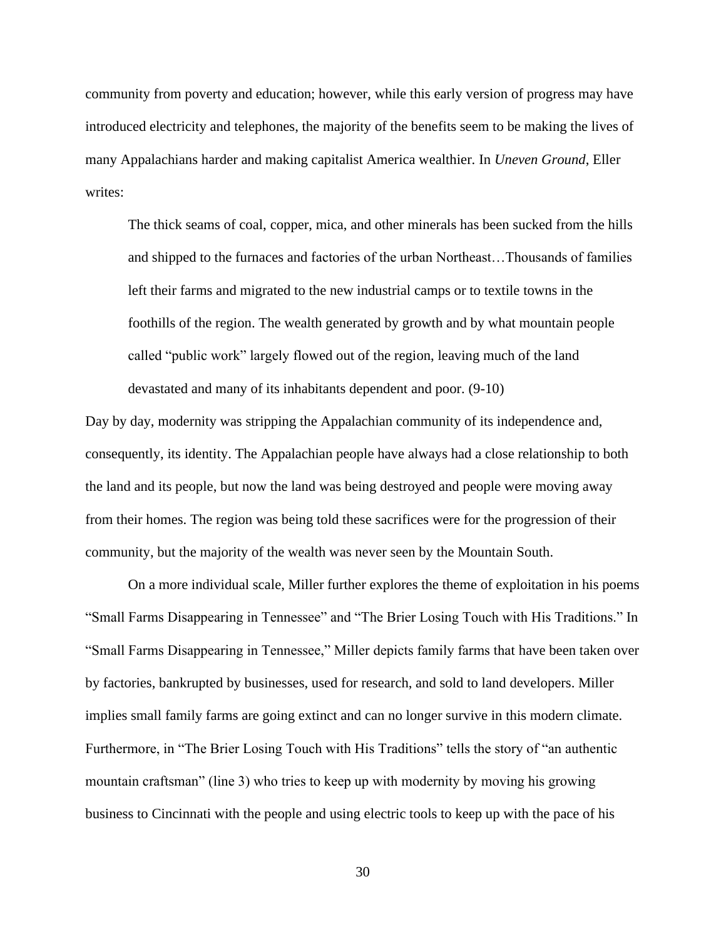community from poverty and education; however, while this early version of progress may have introduced electricity and telephones, the majority of the benefits seem to be making the lives of many Appalachians harder and making capitalist America wealthier. In *Uneven Ground*, Eller writes:

The thick seams of coal, copper, mica, and other minerals has been sucked from the hills and shipped to the furnaces and factories of the urban Northeast…Thousands of families left their farms and migrated to the new industrial camps or to textile towns in the foothills of the region. The wealth generated by growth and by what mountain people called "public work" largely flowed out of the region, leaving much of the land devastated and many of its inhabitants dependent and poor. (9-10)

Day by day, modernity was stripping the Appalachian community of its independence and, consequently, its identity. The Appalachian people have always had a close relationship to both the land and its people, but now the land was being destroyed and people were moving away from their homes. The region was being told these sacrifices were for the progression of their community, but the majority of the wealth was never seen by the Mountain South.

On a more individual scale, Miller further explores the theme of exploitation in his poems "Small Farms Disappearing in Tennessee" and "The Brier Losing Touch with His Traditions." In "Small Farms Disappearing in Tennessee," Miller depicts family farms that have been taken over by factories, bankrupted by businesses, used for research, and sold to land developers. Miller implies small family farms are going extinct and can no longer survive in this modern climate. Furthermore, in "The Brier Losing Touch with His Traditions" tells the story of "an authentic mountain craftsman" (line 3) who tries to keep up with modernity by moving his growing business to Cincinnati with the people and using electric tools to keep up with the pace of his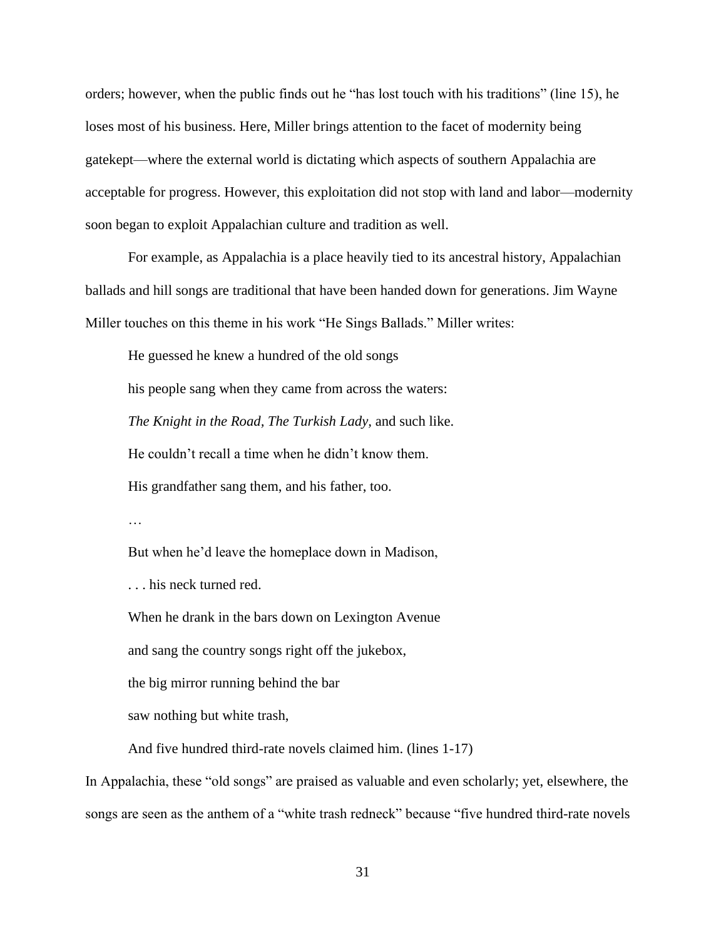orders; however, when the public finds out he "has lost touch with his traditions" (line 15), he loses most of his business. Here, Miller brings attention to the facet of modernity being gatekept—where the external world is dictating which aspects of southern Appalachia are acceptable for progress. However, this exploitation did not stop with land and labor—modernity soon began to exploit Appalachian culture and tradition as well.

For example, as Appalachia is a place heavily tied to its ancestral history, Appalachian ballads and hill songs are traditional that have been handed down for generations. Jim Wayne Miller touches on this theme in his work "He Sings Ballads." Miller writes:

He guessed he knew a hundred of the old songs his people sang when they came from across the waters: *The Knight in the Road, The Turkish Lady,* and such like. He couldn't recall a time when he didn't know them. His grandfather sang them, and his father, too.

…

But when he'd leave the homeplace down in Madison,

. . . his neck turned red.

When he drank in the bars down on Lexington Avenue

and sang the country songs right off the jukebox,

the big mirror running behind the bar

saw nothing but white trash,

And five hundred third-rate novels claimed him. (lines 1-17)

In Appalachia, these "old songs" are praised as valuable and even scholarly; yet, elsewhere, the songs are seen as the anthem of a "white trash redneck" because "five hundred third-rate novels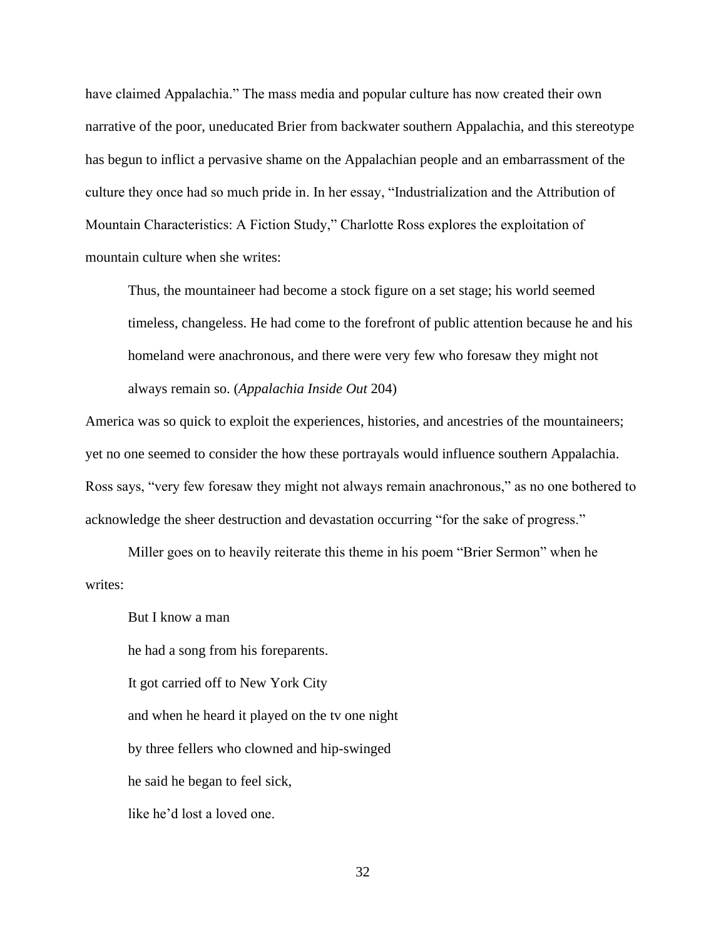have claimed Appalachia." The mass media and popular culture has now created their own narrative of the poor, uneducated Brier from backwater southern Appalachia, and this stereotype has begun to inflict a pervasive shame on the Appalachian people and an embarrassment of the culture they once had so much pride in. In her essay, "Industrialization and the Attribution of Mountain Characteristics: A Fiction Study," Charlotte Ross explores the exploitation of mountain culture when she writes:

Thus, the mountaineer had become a stock figure on a set stage; his world seemed timeless, changeless. He had come to the forefront of public attention because he and his homeland were anachronous, and there were very few who foresaw they might not always remain so. (*Appalachia Inside Out* 204)

America was so quick to exploit the experiences, histories, and ancestries of the mountaineers; yet no one seemed to consider the how these portrayals would influence southern Appalachia. Ross says, "very few foresaw they might not always remain anachronous," as no one bothered to acknowledge the sheer destruction and devastation occurring "for the sake of progress."

Miller goes on to heavily reiterate this theme in his poem "Brier Sermon" when he writes:

But I know a man he had a song from his foreparents. It got carried off to New York City and when he heard it played on the tv one night by three fellers who clowned and hip-swinged he said he began to feel sick, like he'd lost a loved one.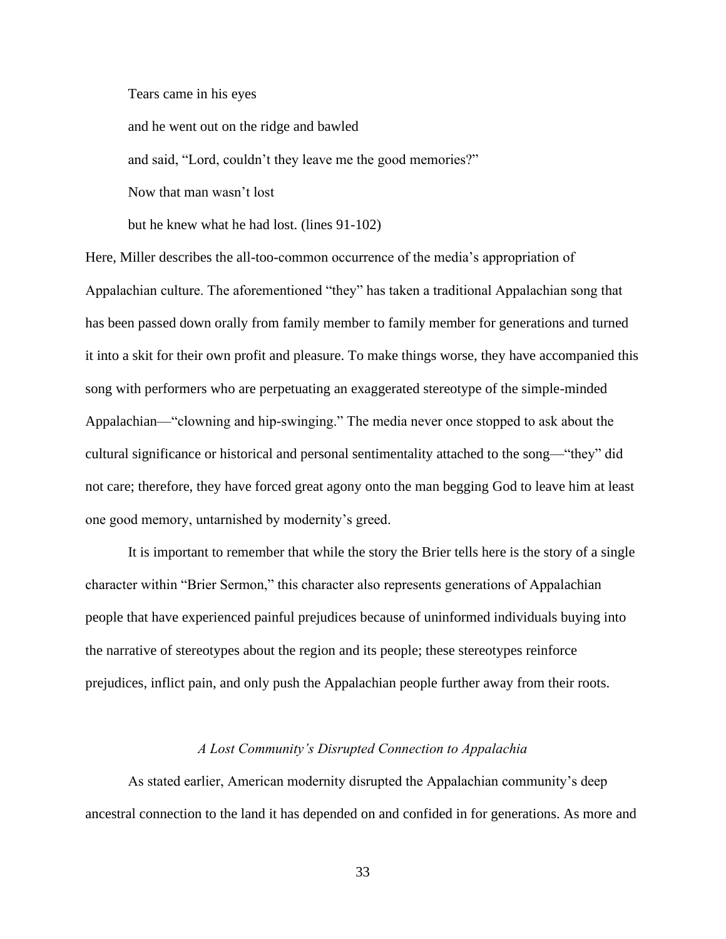Tears came in his eyes

and he went out on the ridge and bawled

and said, "Lord, couldn't they leave me the good memories?"

Now that man wasn't lost

but he knew what he had lost. (lines 91-102)

Here, Miller describes the all-too-common occurrence of the media's appropriation of Appalachian culture. The aforementioned "they" has taken a traditional Appalachian song that has been passed down orally from family member to family member for generations and turned it into a skit for their own profit and pleasure. To make things worse, they have accompanied this song with performers who are perpetuating an exaggerated stereotype of the simple-minded Appalachian—"clowning and hip-swinging." The media never once stopped to ask about the cultural significance or historical and personal sentimentality attached to the song—"they" did not care; therefore, they have forced great agony onto the man begging God to leave him at least one good memory, untarnished by modernity's greed.

It is important to remember that while the story the Brier tells here is the story of a single character within "Brier Sermon," this character also represents generations of Appalachian people that have experienced painful prejudices because of uninformed individuals buying into the narrative of stereotypes about the region and its people; these stereotypes reinforce prejudices, inflict pain, and only push the Appalachian people further away from their roots.

#### *A Lost Community's Disrupted Connection to Appalachia*

As stated earlier, American modernity disrupted the Appalachian community's deep ancestral connection to the land it has depended on and confided in for generations. As more and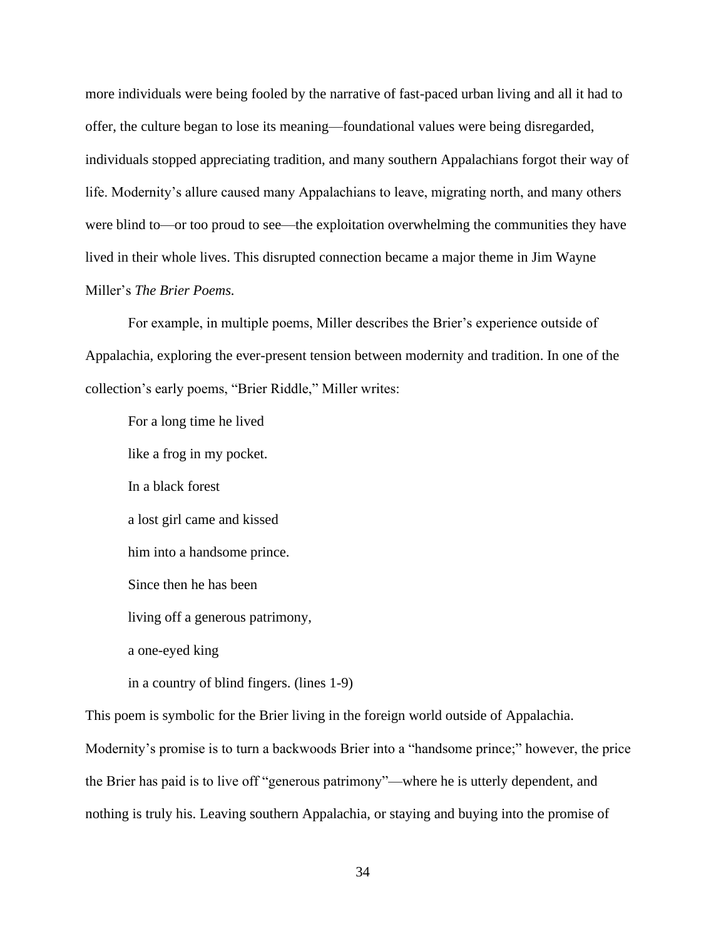more individuals were being fooled by the narrative of fast-paced urban living and all it had to offer, the culture began to lose its meaning—foundational values were being disregarded, individuals stopped appreciating tradition, and many southern Appalachians forgot their way of life. Modernity's allure caused many Appalachians to leave, migrating north, and many others were blind to—or too proud to see—the exploitation overwhelming the communities they have lived in their whole lives. This disrupted connection became a major theme in Jim Wayne Miller's *The Brier Poems.*

For example, in multiple poems, Miller describes the Brier's experience outside of Appalachia, exploring the ever-present tension between modernity and tradition. In one of the collection's early poems, "Brier Riddle," Miller writes:

For a long time he lived like a frog in my pocket. In a black forest a lost girl came and kissed him into a handsome prince. Since then he has been living off a generous patrimony, a one-eyed king in a country of blind fingers. (lines 1-9)

This poem is symbolic for the Brier living in the foreign world outside of Appalachia.

Modernity's promise is to turn a backwoods Brier into a "handsome prince;" however, the price the Brier has paid is to live off "generous patrimony"—where he is utterly dependent, and nothing is truly his. Leaving southern Appalachia, or staying and buying into the promise of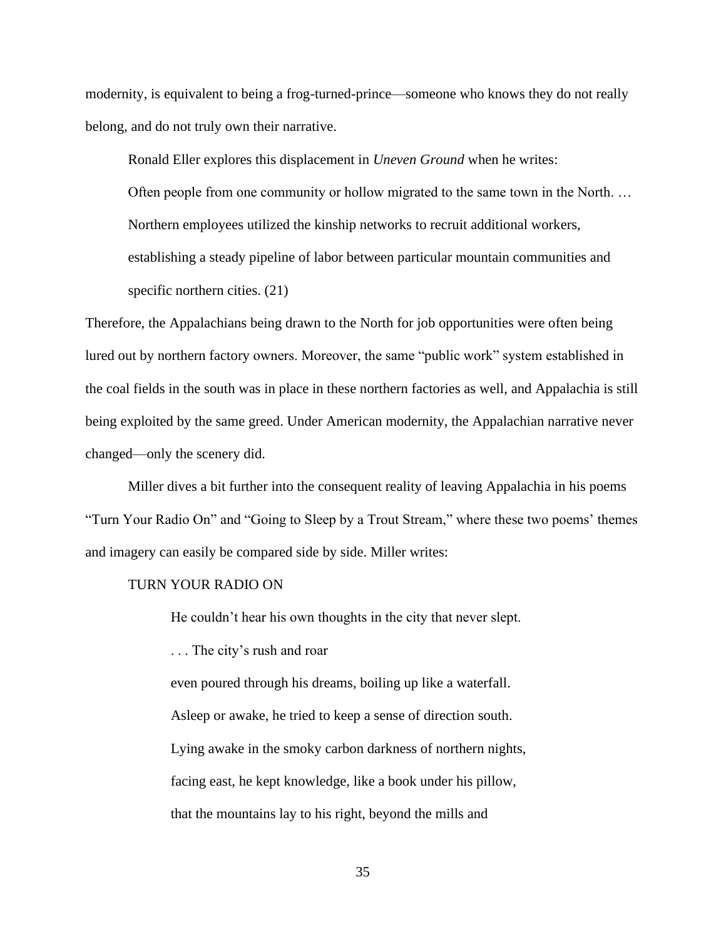modernity, is equivalent to being a frog-turned-prince—someone who knows they do not really belong, and do not truly own their narrative.

Ronald Eller explores this displacement in *Uneven Ground* when he writes:

Often people from one community or hollow migrated to the same town in the North. … Northern employees utilized the kinship networks to recruit additional workers, establishing a steady pipeline of labor between particular mountain communities and specific northern cities. (21)

Therefore, the Appalachians being drawn to the North for job opportunities were often being lured out by northern factory owners. Moreover, the same "public work" system established in the coal fields in the south was in place in these northern factories as well, and Appalachia is still being exploited by the same greed. Under American modernity, the Appalachian narrative never changed—only the scenery did.

Miller dives a bit further into the consequent reality of leaving Appalachia in his poems "Turn Your Radio On" and "Going to Sleep by a Trout Stream," where these two poems' themes and imagery can easily be compared side by side. Miller writes:

#### TURN YOUR RADIO ON

He couldn't hear his own thoughts in the city that never slept.

. . . The city's rush and roar

even poured through his dreams, boiling up like a waterfall. Asleep or awake, he tried to keep a sense of direction south. Lying awake in the smoky carbon darkness of northern nights, facing east, he kept knowledge, like a book under his pillow, that the mountains lay to his right, beyond the mills and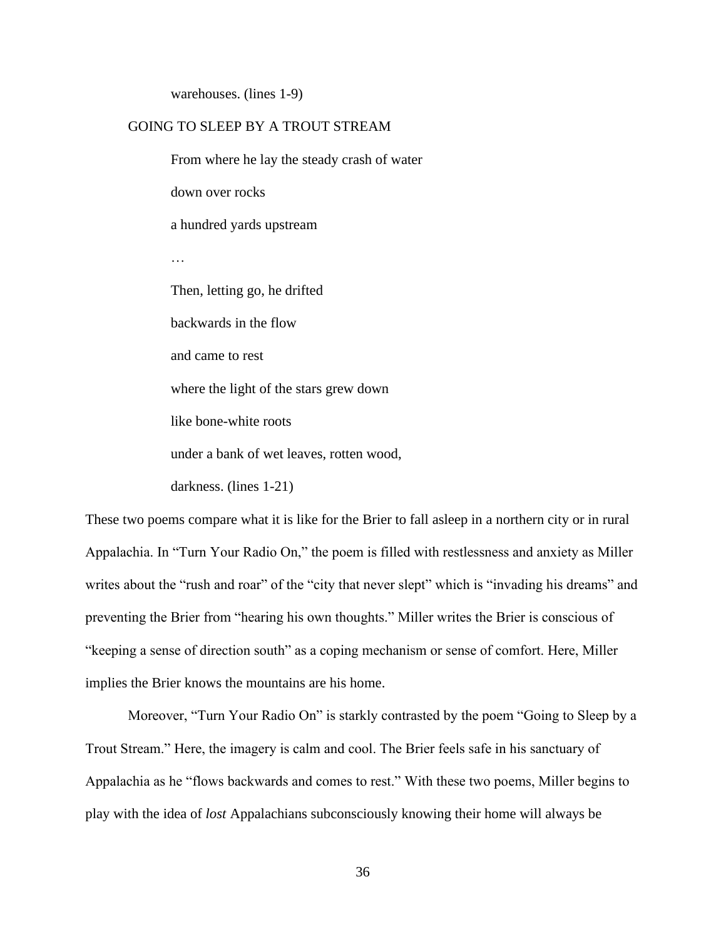warehouses. (lines 1-9)

### GOING TO SLEEP BY A TROUT STREAM

From where he lay the steady crash of water down over rocks a hundred yards upstream … Then, letting go, he drifted backwards in the flow and came to rest where the light of the stars grew down like bone-white roots under a bank of wet leaves, rotten wood, darkness. (lines 1-21)

These two poems compare what it is like for the Brier to fall asleep in a northern city or in rural Appalachia. In "Turn Your Radio On," the poem is filled with restlessness and anxiety as Miller writes about the "rush and roar" of the "city that never slept" which is "invading his dreams" and preventing the Brier from "hearing his own thoughts." Miller writes the Brier is conscious of "keeping a sense of direction south" as a coping mechanism or sense of comfort. Here, Miller implies the Brier knows the mountains are his home.

Moreover, "Turn Your Radio On" is starkly contrasted by the poem "Going to Sleep by a Trout Stream." Here, the imagery is calm and cool. The Brier feels safe in his sanctuary of Appalachia as he "flows backwards and comes to rest." With these two poems, Miller begins to play with the idea of *lost* Appalachians subconsciously knowing their home will always be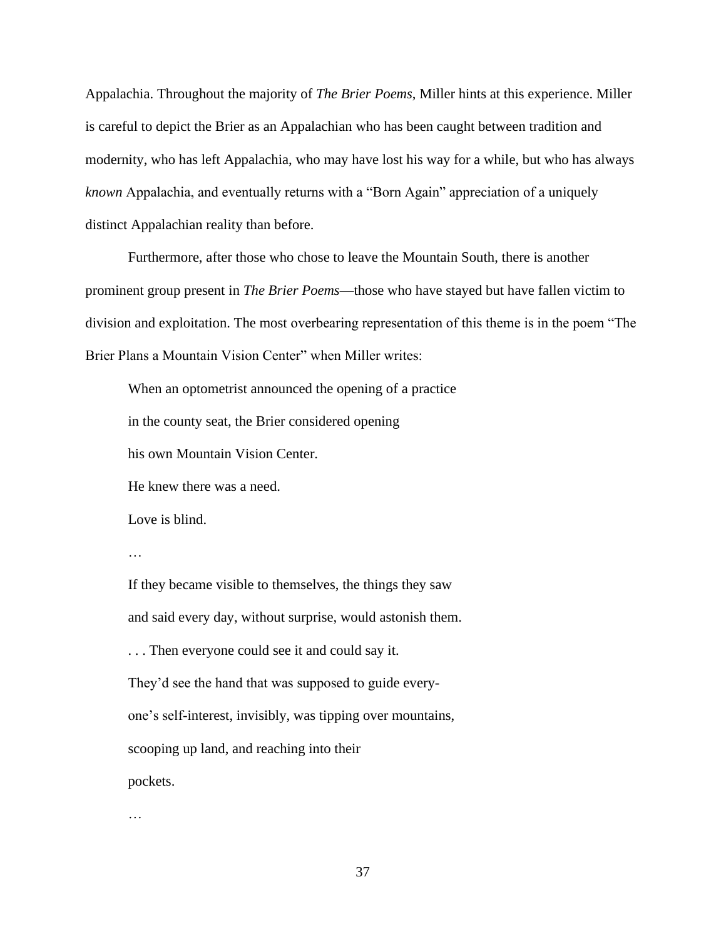Appalachia. Throughout the majority of *The Brier Poems*, Miller hints at this experience. Miller is careful to depict the Brier as an Appalachian who has been caught between tradition and modernity, who has left Appalachia, who may have lost his way for a while, but who has always *known* Appalachia, and eventually returns with a "Born Again" appreciation of a uniquely distinct Appalachian reality than before.

Furthermore, after those who chose to leave the Mountain South, there is another prominent group present in *The Brier Poems*—those who have stayed but have fallen victim to division and exploitation. The most overbearing representation of this theme is in the poem "The Brier Plans a Mountain Vision Center" when Miller writes:

When an optometrist announced the opening of a practice

in the county seat, the Brier considered opening

his own Mountain Vision Center.

He knew there was a need.

Love is blind.

…

If they became visible to themselves, the things they saw and said every day, without surprise, would astonish them. . . . Then everyone could see it and could say it. They'd see the hand that was supposed to guide everyone's self-interest, invisibly, was tipping over mountains, scooping up land, and reaching into their pockets.

…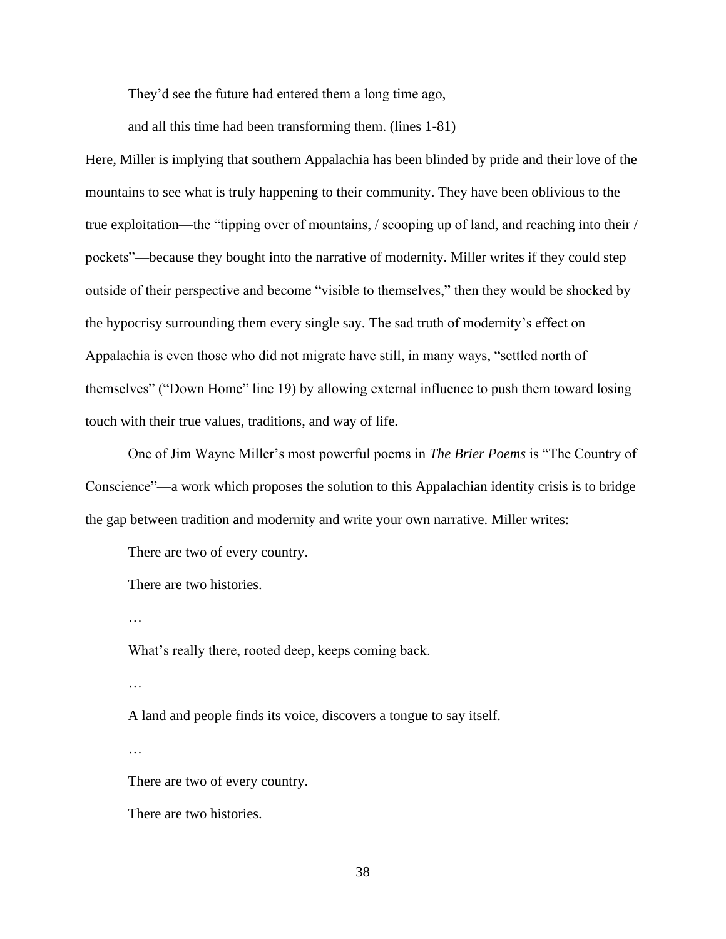They'd see the future had entered them a long time ago,

and all this time had been transforming them. (lines 1-81)

Here, Miller is implying that southern Appalachia has been blinded by pride and their love of the mountains to see what is truly happening to their community. They have been oblivious to the true exploitation—the "tipping over of mountains, / scooping up of land, and reaching into their / pockets"—because they bought into the narrative of modernity. Miller writes if they could step outside of their perspective and become "visible to themselves," then they would be shocked by the hypocrisy surrounding them every single say. The sad truth of modernity's effect on Appalachia is even those who did not migrate have still, in many ways, "settled north of themselves" ("Down Home" line 19) by allowing external influence to push them toward losing touch with their true values, traditions, and way of life.

One of Jim Wayne Miller's most powerful poems in *The Brier Poems* is "The Country of Conscience"—a work which proposes the solution to this Appalachian identity crisis is to bridge the gap between tradition and modernity and write your own narrative. Miller writes:

There are two of every country.

There are two histories.

…

What's really there, rooted deep, keeps coming back.

…

A land and people finds its voice, discovers a tongue to say itself.

…

There are two of every country.

There are two histories.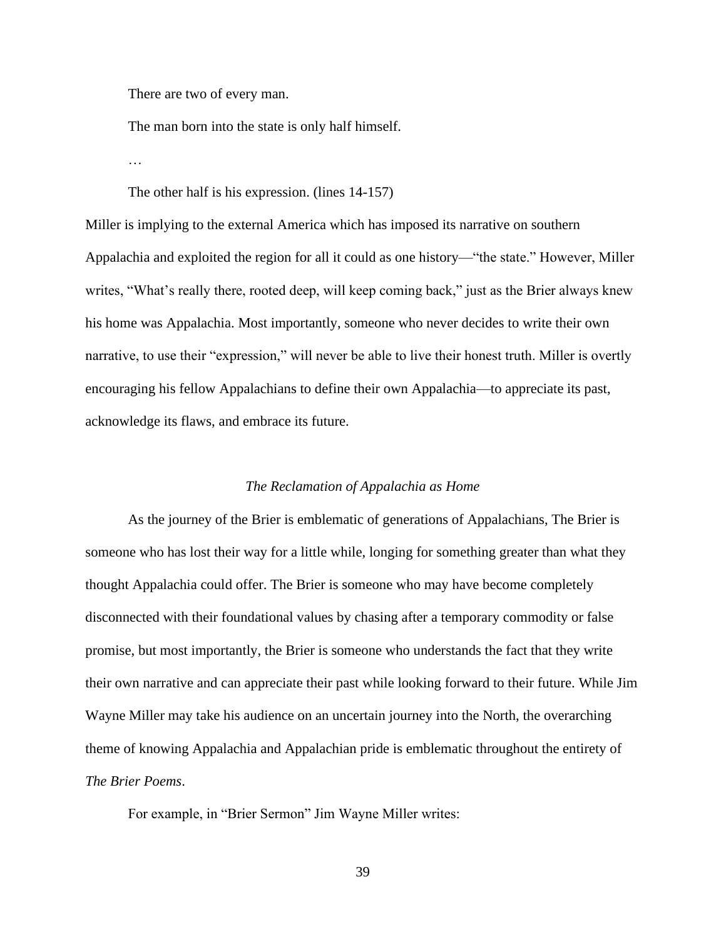There are two of every man.

The man born into the state is only half himself.

…

The other half is his expression. (lines 14-157)

Miller is implying to the external America which has imposed its narrative on southern Appalachia and exploited the region for all it could as one history—"the state." However, Miller writes, "What's really there, rooted deep, will keep coming back," just as the Brier always knew his home was Appalachia. Most importantly, someone who never decides to write their own narrative, to use their "expression," will never be able to live their honest truth. Miller is overtly encouraging his fellow Appalachians to define their own Appalachia—to appreciate its past, acknowledge its flaws, and embrace its future.

#### *The Reclamation of Appalachia as Home*

As the journey of the Brier is emblematic of generations of Appalachians, The Brier is someone who has lost their way for a little while, longing for something greater than what they thought Appalachia could offer. The Brier is someone who may have become completely disconnected with their foundational values by chasing after a temporary commodity or false promise, but most importantly, the Brier is someone who understands the fact that they write their own narrative and can appreciate their past while looking forward to their future. While Jim Wayne Miller may take his audience on an uncertain journey into the North, the overarching theme of knowing Appalachia and Appalachian pride is emblematic throughout the entirety of *The Brier Poems*.

For example, in "Brier Sermon" Jim Wayne Miller writes: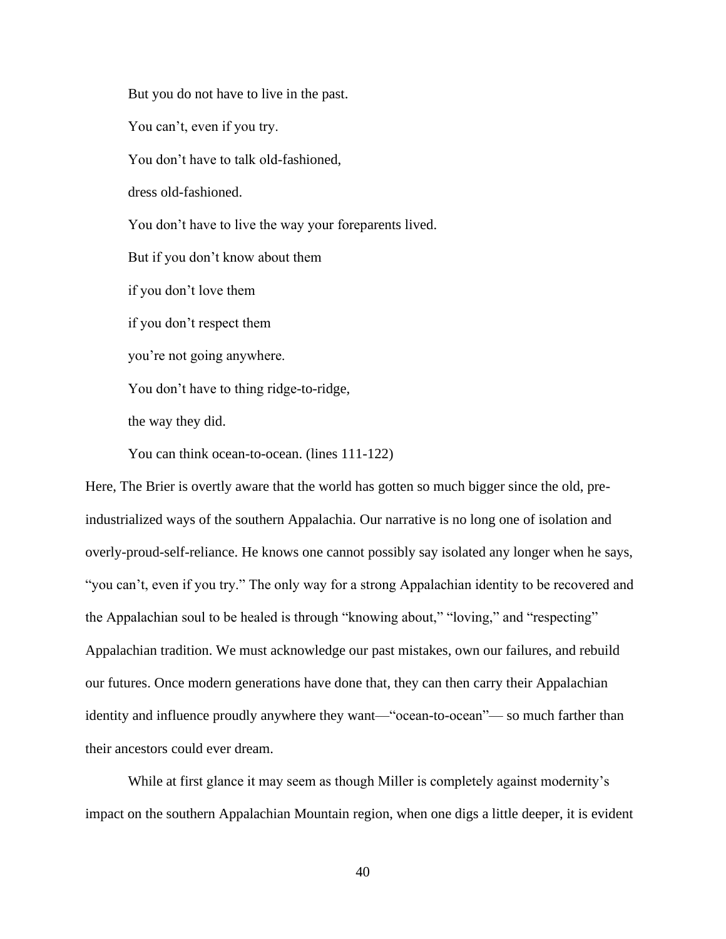But you do not have to live in the past. You can't, even if you try. You don't have to talk old-fashioned, dress old-fashioned. You don't have to live the way your foreparents lived. But if you don't know about them if you don't love them if you don't respect them you're not going anywhere. You don't have to thing ridge-to-ridge, the way they did.

You can think ocean-to-ocean. (lines 111-122)

Here, The Brier is overtly aware that the world has gotten so much bigger since the old, preindustrialized ways of the southern Appalachia. Our narrative is no long one of isolation and overly-proud-self-reliance. He knows one cannot possibly say isolated any longer when he says, "you can't, even if you try." The only way for a strong Appalachian identity to be recovered and the Appalachian soul to be healed is through "knowing about," "loving," and "respecting" Appalachian tradition. We must acknowledge our past mistakes, own our failures, and rebuild our futures. Once modern generations have done that, they can then carry their Appalachian identity and influence proudly anywhere they want—"ocean-to-ocean"— so much farther than their ancestors could ever dream.

While at first glance it may seem as though Miller is completely against modernity's impact on the southern Appalachian Mountain region, when one digs a little deeper, it is evident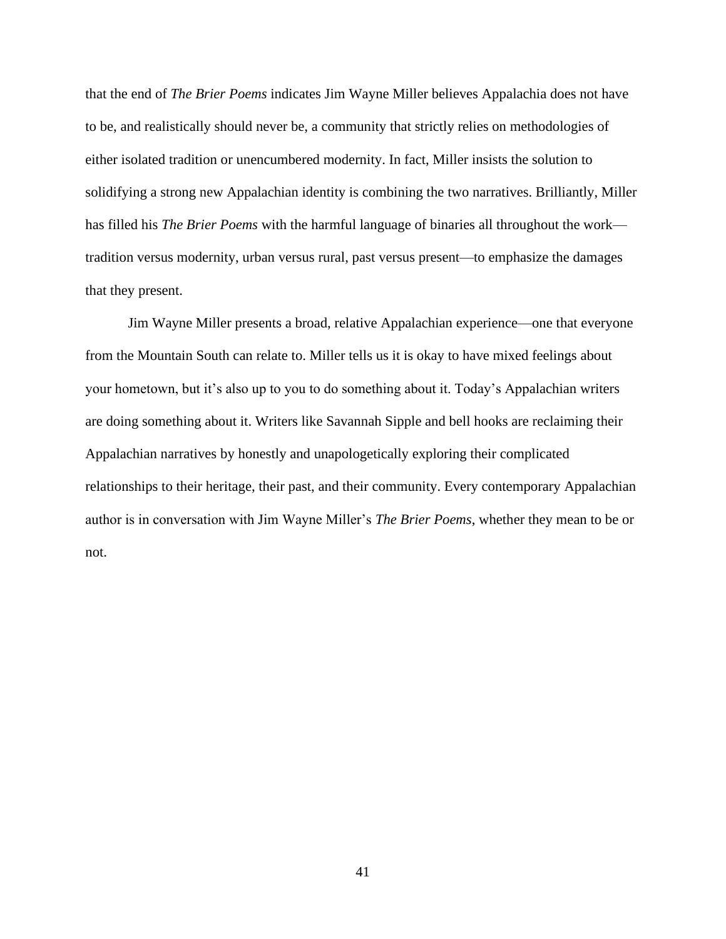that the end of *The Brier Poems* indicates Jim Wayne Miller believes Appalachia does not have to be, and realistically should never be, a community that strictly relies on methodologies of either isolated tradition or unencumbered modernity. In fact, Miller insists the solution to solidifying a strong new Appalachian identity is combining the two narratives. Brilliantly, Miller has filled his *The Brier Poems* with the harmful language of binaries all throughout the work tradition versus modernity, urban versus rural, past versus present—to emphasize the damages that they present.

Jim Wayne Miller presents a broad, relative Appalachian experience—one that everyone from the Mountain South can relate to. Miller tells us it is okay to have mixed feelings about your hometown, but it's also up to you to do something about it. Today's Appalachian writers are doing something about it. Writers like Savannah Sipple and bell hooks are reclaiming their Appalachian narratives by honestly and unapologetically exploring their complicated relationships to their heritage, their past, and their community. Every contemporary Appalachian author is in conversation with Jim Wayne Miller's *The Brier Poems*, whether they mean to be or not.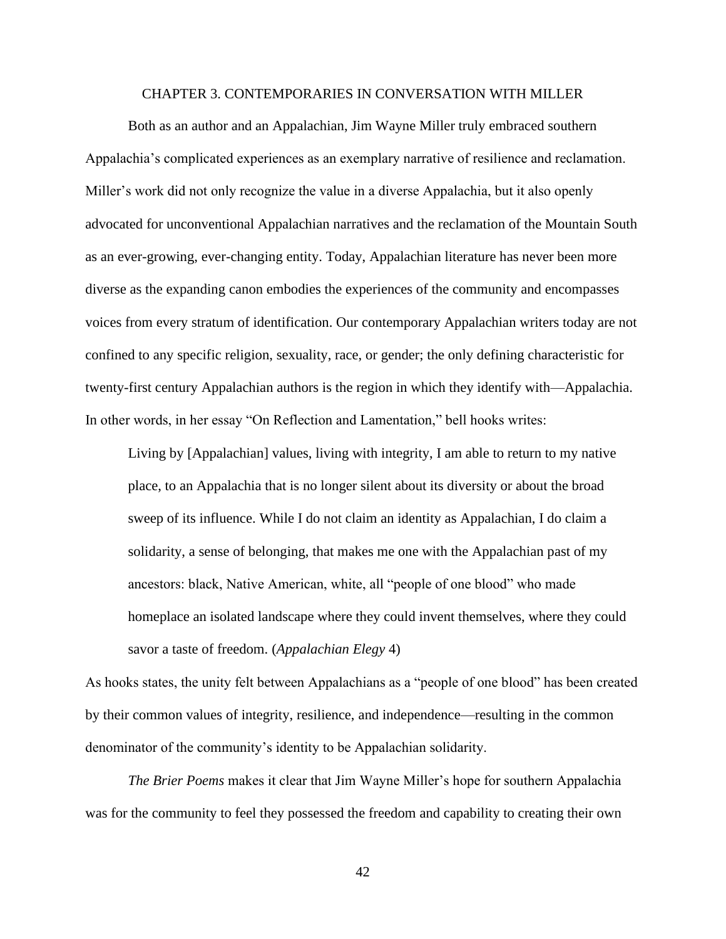### CHAPTER 3. CONTEMPORARIES IN CONVERSATION WITH MILLER

Both as an author and an Appalachian, Jim Wayne Miller truly embraced southern Appalachia's complicated experiences as an exemplary narrative of resilience and reclamation. Miller's work did not only recognize the value in a diverse Appalachia, but it also openly advocated for unconventional Appalachian narratives and the reclamation of the Mountain South as an ever-growing, ever-changing entity. Today, Appalachian literature has never been more diverse as the expanding canon embodies the experiences of the community and encompasses voices from every stratum of identification. Our contemporary Appalachian writers today are not confined to any specific religion, sexuality, race, or gender; the only defining characteristic for twenty-first century Appalachian authors is the region in which they identify with—Appalachia. In other words, in her essay "On Reflection and Lamentation," bell hooks writes:

Living by [Appalachian] values, living with integrity, I am able to return to my native place, to an Appalachia that is no longer silent about its diversity or about the broad sweep of its influence. While I do not claim an identity as Appalachian, I do claim a solidarity, a sense of belonging, that makes me one with the Appalachian past of my ancestors: black, Native American, white, all "people of one blood" who made homeplace an isolated landscape where they could invent themselves, where they could savor a taste of freedom. (*Appalachian Elegy* 4)

As hooks states, the unity felt between Appalachians as a "people of one blood" has been created by their common values of integrity, resilience, and independence—resulting in the common denominator of the community's identity to be Appalachian solidarity.

*The Brier Poems* makes it clear that Jim Wayne Miller's hope for southern Appalachia was for the community to feel they possessed the freedom and capability to creating their own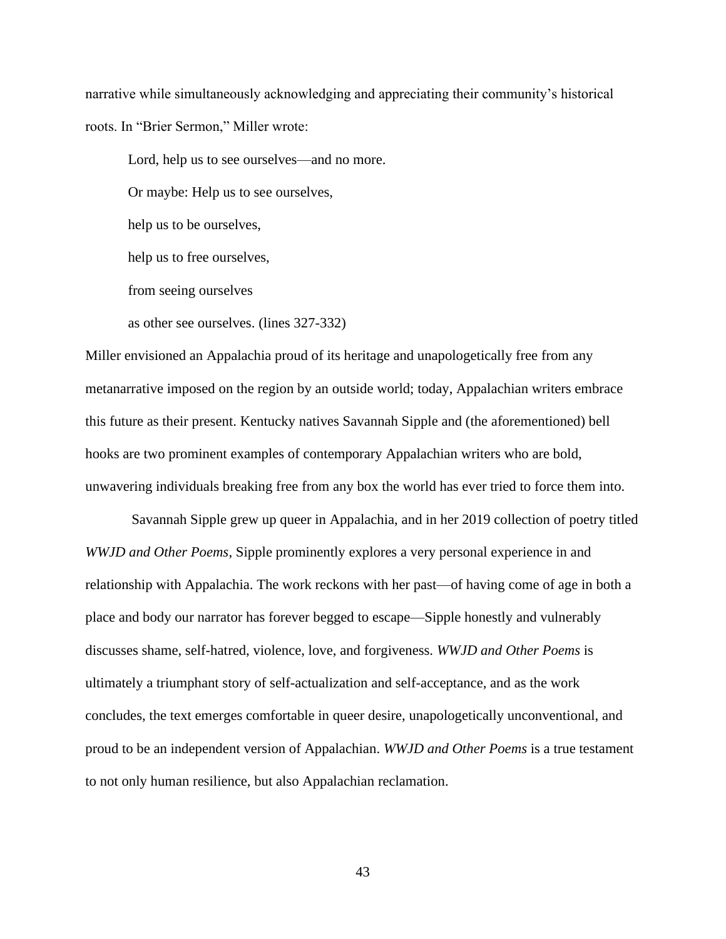narrative while simultaneously acknowledging and appreciating their community's historical roots. In "Brier Sermon," Miller wrote:

Lord, help us to see ourselves—and no more.

Or maybe: Help us to see ourselves,

help us to be ourselves,

help us to free ourselves,

from seeing ourselves

as other see ourselves. (lines 327-332)

Miller envisioned an Appalachia proud of its heritage and unapologetically free from any metanarrative imposed on the region by an outside world; today, Appalachian writers embrace this future as their present. Kentucky natives Savannah Sipple and (the aforementioned) bell hooks are two prominent examples of contemporary Appalachian writers who are bold, unwavering individuals breaking free from any box the world has ever tried to force them into.

Savannah Sipple grew up queer in Appalachia, and in her 2019 collection of poetry titled *WWJD and Other Poems*, Sipple prominently explores a very personal experience in and relationship with Appalachia. The work reckons with her past—of having come of age in both a place and body our narrator has forever begged to escape—Sipple honestly and vulnerably discusses shame, self-hatred, violence, love, and forgiveness. *WWJD and Other Poems* is ultimately a triumphant story of self-actualization and self-acceptance, and as the work concludes, the text emerges comfortable in queer desire, unapologetically unconventional, and proud to be an independent version of Appalachian. *WWJD and Other Poems* is a true testament to not only human resilience, but also Appalachian reclamation.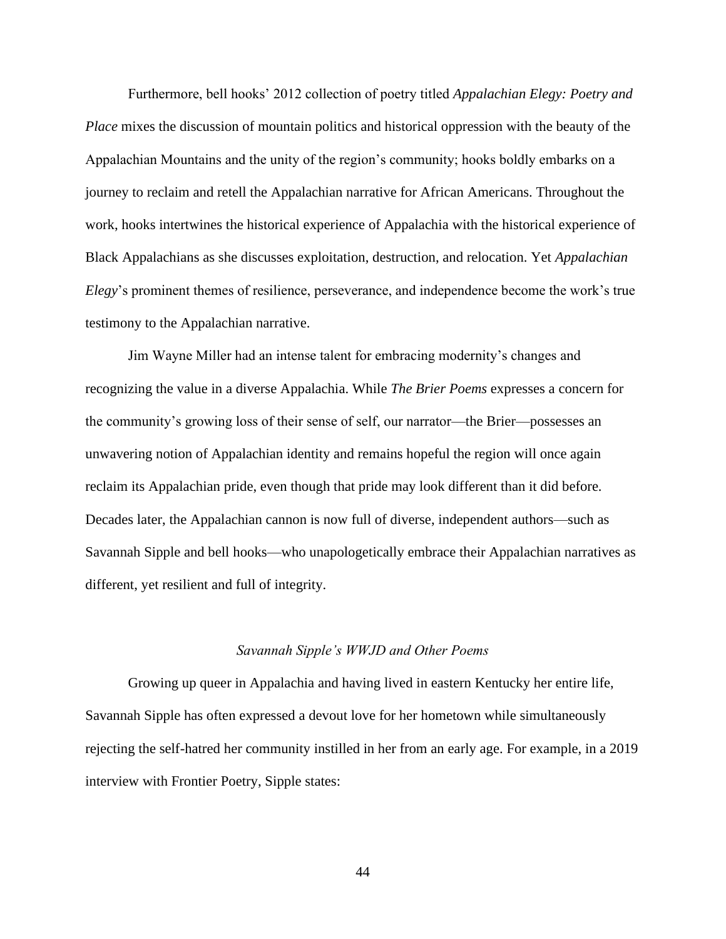Furthermore, bell hooks' 2012 collection of poetry titled *Appalachian Elegy: Poetry and Place* mixes the discussion of mountain politics and historical oppression with the beauty of the Appalachian Mountains and the unity of the region's community; hooks boldly embarks on a journey to reclaim and retell the Appalachian narrative for African Americans. Throughout the work, hooks intertwines the historical experience of Appalachia with the historical experience of Black Appalachians as she discusses exploitation, destruction, and relocation. Yet *Appalachian Elegy*'s prominent themes of resilience, perseverance, and independence become the work's true testimony to the Appalachian narrative.

Jim Wayne Miller had an intense talent for embracing modernity's changes and recognizing the value in a diverse Appalachia. While *The Brier Poems* expresses a concern for the community's growing loss of their sense of self, our narrator—the Brier—possesses an unwavering notion of Appalachian identity and remains hopeful the region will once again reclaim its Appalachian pride, even though that pride may look different than it did before. Decades later, the Appalachian cannon is now full of diverse, independent authors—such as Savannah Sipple and bell hooks—who unapologetically embrace their Appalachian narratives as different, yet resilient and full of integrity.

#### *Savannah Sipple's WWJD and Other Poems*

Growing up queer in Appalachia and having lived in eastern Kentucky her entire life, Savannah Sipple has often expressed a devout love for her hometown while simultaneously rejecting the self-hatred her community instilled in her from an early age. For example, in a 2019 interview with Frontier Poetry, Sipple states: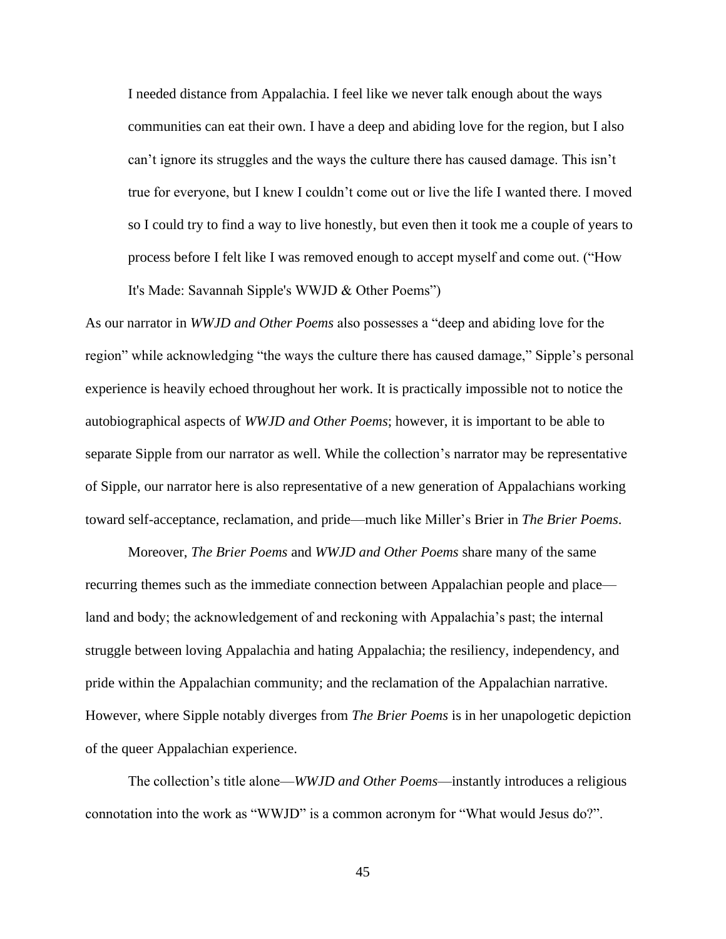I needed distance from Appalachia. I feel like we never talk enough about the ways communities can eat their own. I have a deep and abiding love for the region, but I also can't ignore its struggles and the ways the culture there has caused damage. This isn't true for everyone, but I knew I couldn't come out or live the life I wanted there. I moved so I could try to find a way to live honestly, but even then it took me a couple of years to process before I felt like I was removed enough to accept myself and come out. ("How It's Made: Savannah Sipple's WWJD & Other Poems")

As our narrator in *WWJD and Other Poems* also possesses a "deep and abiding love for the region" while acknowledging "the ways the culture there has caused damage," Sipple's personal experience is heavily echoed throughout her work. It is practically impossible not to notice the autobiographical aspects of *WWJD and Other Poems*; however, it is important to be able to separate Sipple from our narrator as well. While the collection's narrator may be representative of Sipple, our narrator here is also representative of a new generation of Appalachians working toward self-acceptance, reclamation, and pride—much like Miller's Brier in *The Brier Poems*.

Moreover, *The Brier Poems* and *WWJD and Other Poems* share many of the same recurring themes such as the immediate connection between Appalachian people and place land and body; the acknowledgement of and reckoning with Appalachia's past; the internal struggle between loving Appalachia and hating Appalachia; the resiliency, independency, and pride within the Appalachian community; and the reclamation of the Appalachian narrative. However, where Sipple notably diverges from *The Brier Poems* is in her unapologetic depiction of the queer Appalachian experience.

The collection's title alone—*WWJD and Other Poems*—instantly introduces a religious connotation into the work as "WWJD" is a common acronym for "What would Jesus do?".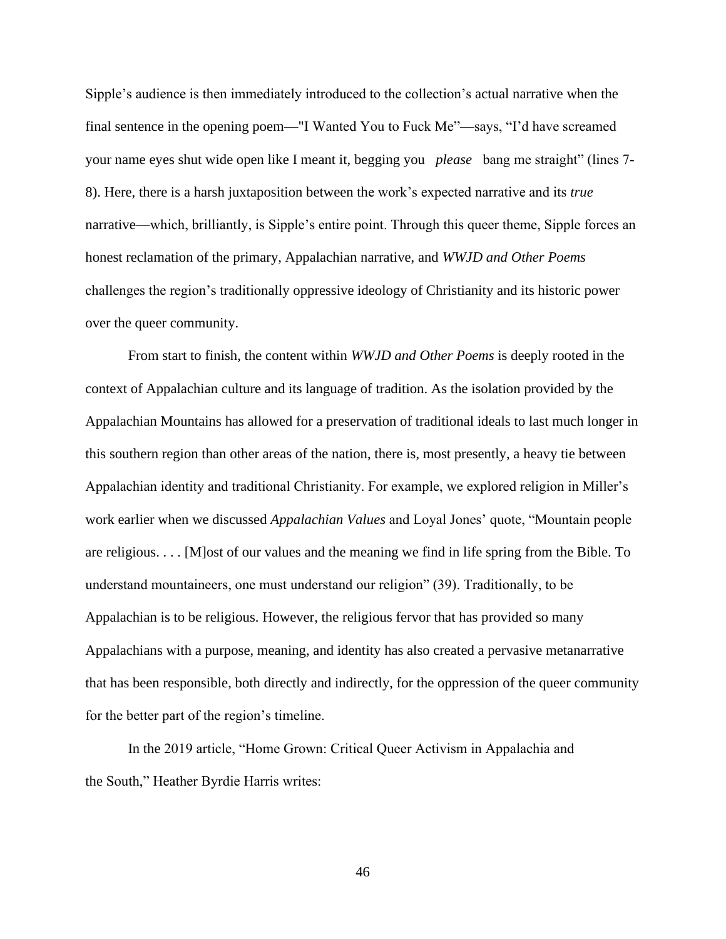Sipple's audience is then immediately introduced to the collection's actual narrative when the final sentence in the opening poem—"I Wanted You to Fuck Me"—says, "I'd have screamed your name eyes shut wide open like I meant it, begging you *please* bang me straight" (lines 7- 8). Here, there is a harsh juxtaposition between the work's expected narrative and its *true* narrative—which, brilliantly, is Sipple's entire point. Through this queer theme, Sipple forces an honest reclamation of the primary, Appalachian narrative, and *WWJD and Other Poems*  challenges the region's traditionally oppressive ideology of Christianity and its historic power over the queer community.

From start to finish, the content within *WWJD and Other Poems* is deeply rooted in the context of Appalachian culture and its language of tradition. As the isolation provided by the Appalachian Mountains has allowed for a preservation of traditional ideals to last much longer in this southern region than other areas of the nation, there is, most presently, a heavy tie between Appalachian identity and traditional Christianity. For example, we explored religion in Miller's work earlier when we discussed *Appalachian Values* and Loyal Jones' quote, "Mountain people are religious. . . . [M]ost of our values and the meaning we find in life spring from the Bible. To understand mountaineers, one must understand our religion" (39). Traditionally, to be Appalachian is to be religious. However, the religious fervor that has provided so many Appalachians with a purpose, meaning, and identity has also created a pervasive metanarrative that has been responsible, both directly and indirectly, for the oppression of the queer community for the better part of the region's timeline.

In the 2019 article, "Home Grown: Critical Queer Activism in Appalachia and the South," Heather Byrdie Harris writes: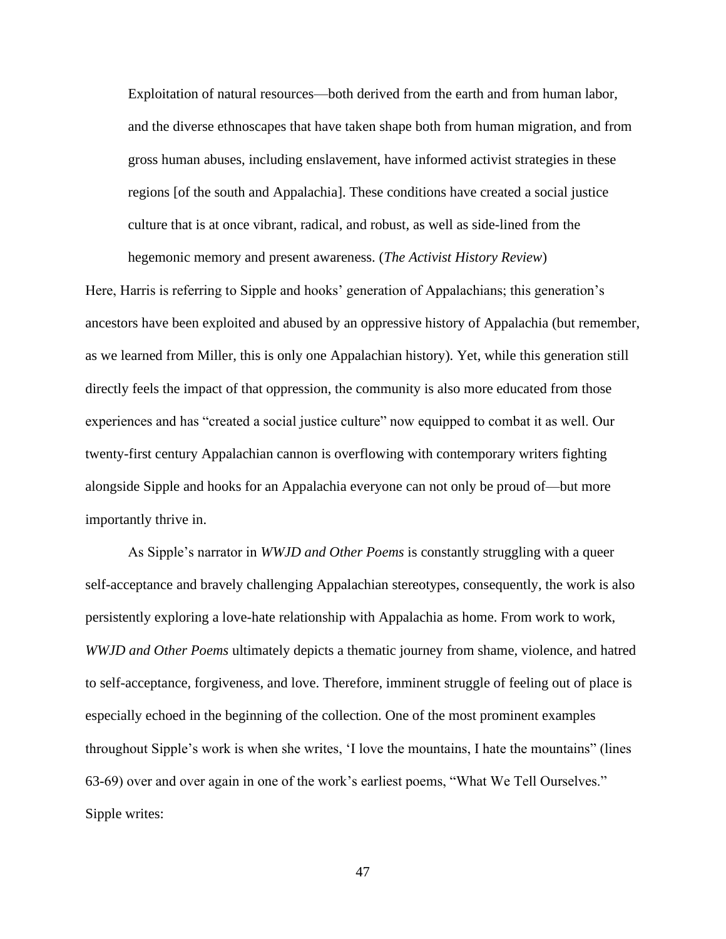Exploitation of natural resources—both derived from the earth and from human labor, and the diverse ethnoscapes that have taken shape both from human migration, and from gross human abuses, including enslavement, have informed activist strategies in these regions [of the south and Appalachia]. These conditions have created a social justice culture that is at once vibrant, radical, and robust, as well as side-lined from the hegemonic memory and present awareness. (*The Activist History Review*)

Here, Harris is referring to Sipple and hooks' generation of Appalachians; this generation's ancestors have been exploited and abused by an oppressive history of Appalachia (but remember, as we learned from Miller, this is only one Appalachian history). Yet, while this generation still directly feels the impact of that oppression, the community is also more educated from those experiences and has "created a social justice culture" now equipped to combat it as well. Our twenty-first century Appalachian cannon is overflowing with contemporary writers fighting alongside Sipple and hooks for an Appalachia everyone can not only be proud of—but more importantly thrive in.

As Sipple's narrator in *WWJD and Other Poems* is constantly struggling with a queer self-acceptance and bravely challenging Appalachian stereotypes, consequently, the work is also persistently exploring a love-hate relationship with Appalachia as home. From work to work, *WWJD and Other Poems* ultimately depicts a thematic journey from shame, violence, and hatred to self-acceptance, forgiveness, and love. Therefore, imminent struggle of feeling out of place is especially echoed in the beginning of the collection. One of the most prominent examples throughout Sipple's work is when she writes, 'I love the mountains, I hate the mountains" (lines 63-69) over and over again in one of the work's earliest poems, "What We Tell Ourselves." Sipple writes: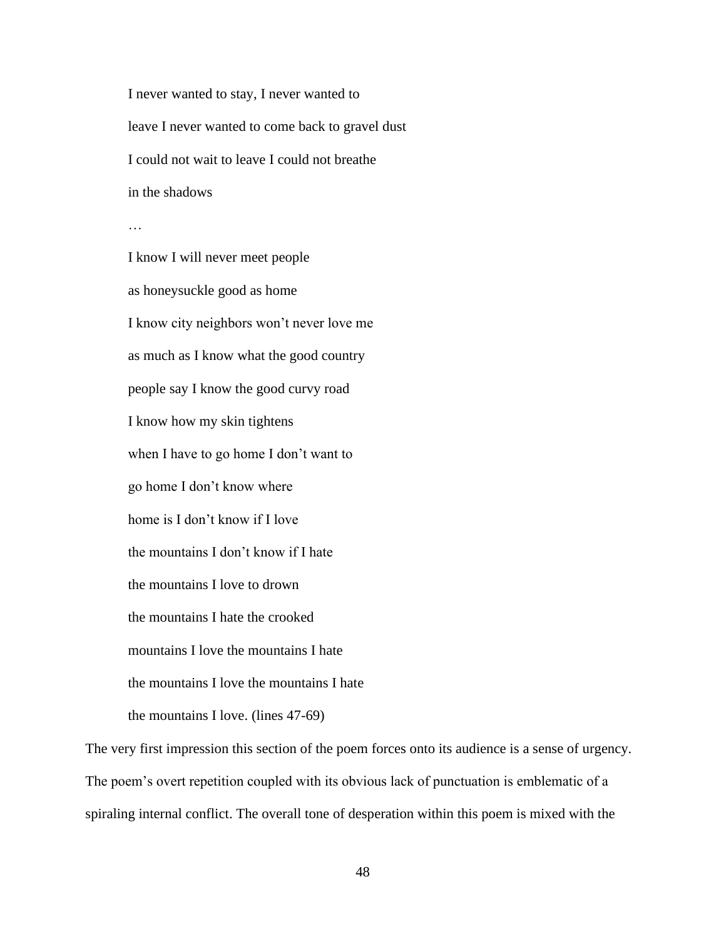I never wanted to stay, I never wanted to leave I never wanted to come back to gravel dust I could not wait to leave I could not breathe in the shadows

…

I know I will never meet people as honeysuckle good as home I know city neighbors won't never love me as much as I know what the good country people say I know the good curvy road I know how my skin tightens when I have to go home I don't want to go home I don't know where home is I don't know if I love the mountains I don't know if I hate the mountains I love to drown the mountains I hate the crooked mountains I love the mountains I hate the mountains I love the mountains I hate the mountains I love. (lines 47-69)

The very first impression this section of the poem forces onto its audience is a sense of urgency. The poem's overt repetition coupled with its obvious lack of punctuation is emblematic of a spiraling internal conflict. The overall tone of desperation within this poem is mixed with the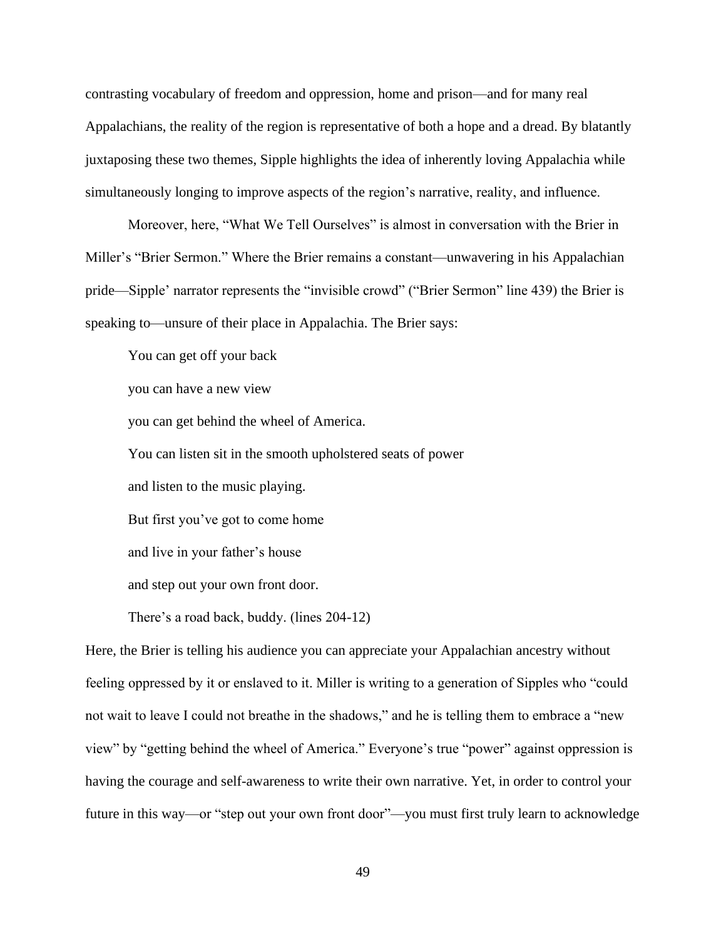contrasting vocabulary of freedom and oppression, home and prison—and for many real Appalachians, the reality of the region is representative of both a hope and a dread. By blatantly juxtaposing these two themes, Sipple highlights the idea of inherently loving Appalachia while simultaneously longing to improve aspects of the region's narrative, reality, and influence.

Moreover, here, "What We Tell Ourselves" is almost in conversation with the Brier in Miller's "Brier Sermon." Where the Brier remains a constant—unwavering in his Appalachian pride—Sipple' narrator represents the "invisible crowd" ("Brier Sermon" line 439) the Brier is speaking to—unsure of their place in Appalachia. The Brier says:

You can get off your back

you can have a new view

you can get behind the wheel of America.

You can listen sit in the smooth upholstered seats of power

and listen to the music playing.

But first you've got to come home

and live in your father's house

and step out your own front door.

There's a road back, buddy. (lines 204-12)

Here, the Brier is telling his audience you can appreciate your Appalachian ancestry without feeling oppressed by it or enslaved to it. Miller is writing to a generation of Sipples who "could not wait to leave I could not breathe in the shadows," and he is telling them to embrace a "new view" by "getting behind the wheel of America." Everyone's true "power" against oppression is having the courage and self-awareness to write their own narrative. Yet, in order to control your future in this way—or "step out your own front door"—you must first truly learn to acknowledge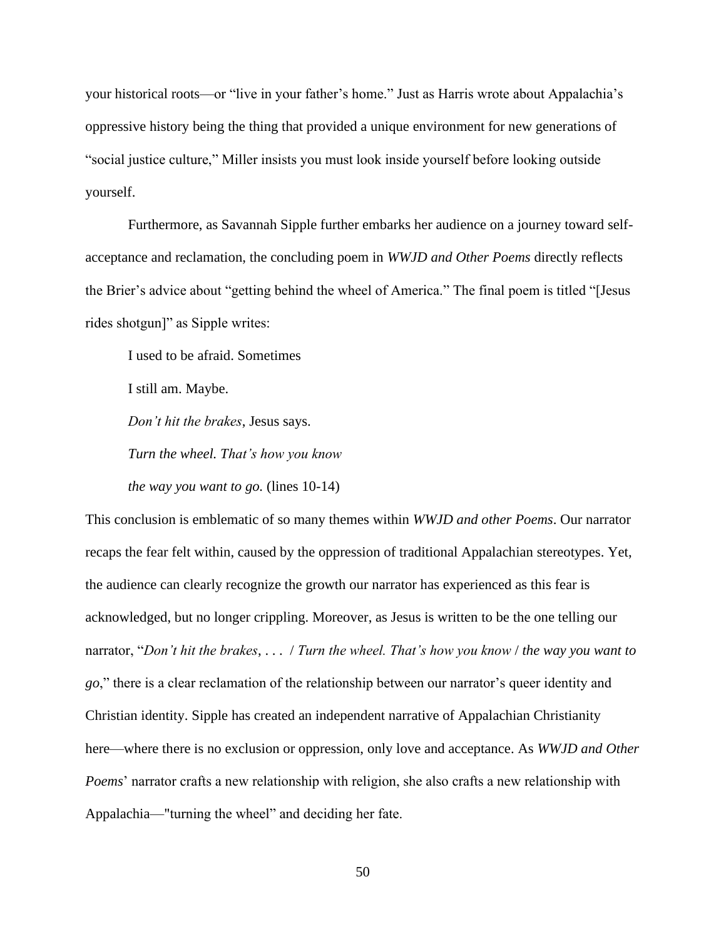your historical roots—or "live in your father's home." Just as Harris wrote about Appalachia's oppressive history being the thing that provided a unique environment for new generations of "social justice culture," Miller insists you must look inside yourself before looking outside yourself.

Furthermore, as Savannah Sipple further embarks her audience on a journey toward selfacceptance and reclamation, the concluding poem in *WWJD and Other Poems* directly reflects the Brier's advice about "getting behind the wheel of America." The final poem is titled "[Jesus rides shotgun]" as Sipple writes:

I used to be afraid. Sometimes

I still am. Maybe.

*Don't hit the brakes*, Jesus says.

*Turn the wheel. That's how you know*

*the way you want to go.* (lines 10-14)

This conclusion is emblematic of so many themes within *WWJD and other Poems*. Our narrator recaps the fear felt within, caused by the oppression of traditional Appalachian stereotypes. Yet, the audience can clearly recognize the growth our narrator has experienced as this fear is acknowledged, but no longer crippling. Moreover, as Jesus is written to be the one telling our narrator, "*Don't hit the brakes*, . . . / *Turn the wheel. That's how you know* / *the way you want to go*," there is a clear reclamation of the relationship between our narrator's queer identity and Christian identity. Sipple has created an independent narrative of Appalachian Christianity here—where there is no exclusion or oppression, only love and acceptance. As *WWJD and Other Poems*' narrator crafts a new relationship with religion, she also crafts a new relationship with Appalachia—"turning the wheel" and deciding her fate.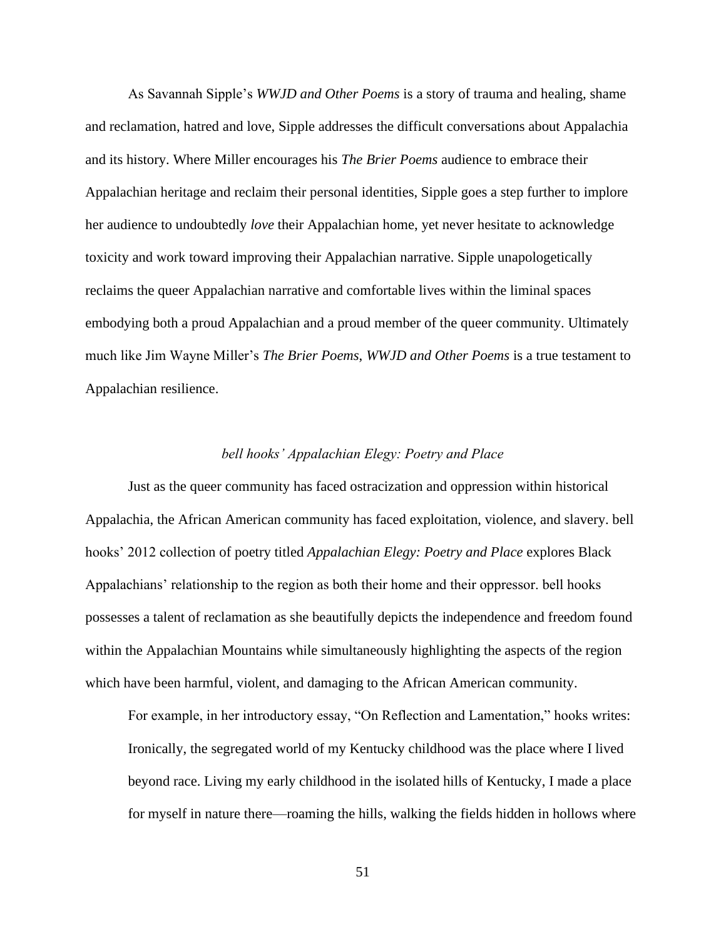As Savannah Sipple's *WWJD and Other Poems* is a story of trauma and healing, shame and reclamation, hatred and love, Sipple addresses the difficult conversations about Appalachia and its history. Where Miller encourages his *The Brier Poems* audience to embrace their Appalachian heritage and reclaim their personal identities, Sipple goes a step further to implore her audience to undoubtedly *love* their Appalachian home, yet never hesitate to acknowledge toxicity and work toward improving their Appalachian narrative. Sipple unapologetically reclaims the queer Appalachian narrative and comfortable lives within the liminal spaces embodying both a proud Appalachian and a proud member of the queer community. Ultimately much like Jim Wayne Miller's *The Brier Poems*, *WWJD and Other Poems* is a true testament to Appalachian resilience.

#### *bell hooks' Appalachian Elegy: Poetry and Place*

Just as the queer community has faced ostracization and oppression within historical Appalachia, the African American community has faced exploitation, violence, and slavery. bell hooks' 2012 collection of poetry titled *Appalachian Elegy: Poetry and Place* explores Black Appalachians' relationship to the region as both their home and their oppressor. bell hooks possesses a talent of reclamation as she beautifully depicts the independence and freedom found within the Appalachian Mountains while simultaneously highlighting the aspects of the region which have been harmful, violent, and damaging to the African American community.

For example, in her introductory essay, "On Reflection and Lamentation," hooks writes: Ironically, the segregated world of my Kentucky childhood was the place where I lived beyond race. Living my early childhood in the isolated hills of Kentucky, I made a place for myself in nature there—roaming the hills, walking the fields hidden in hollows where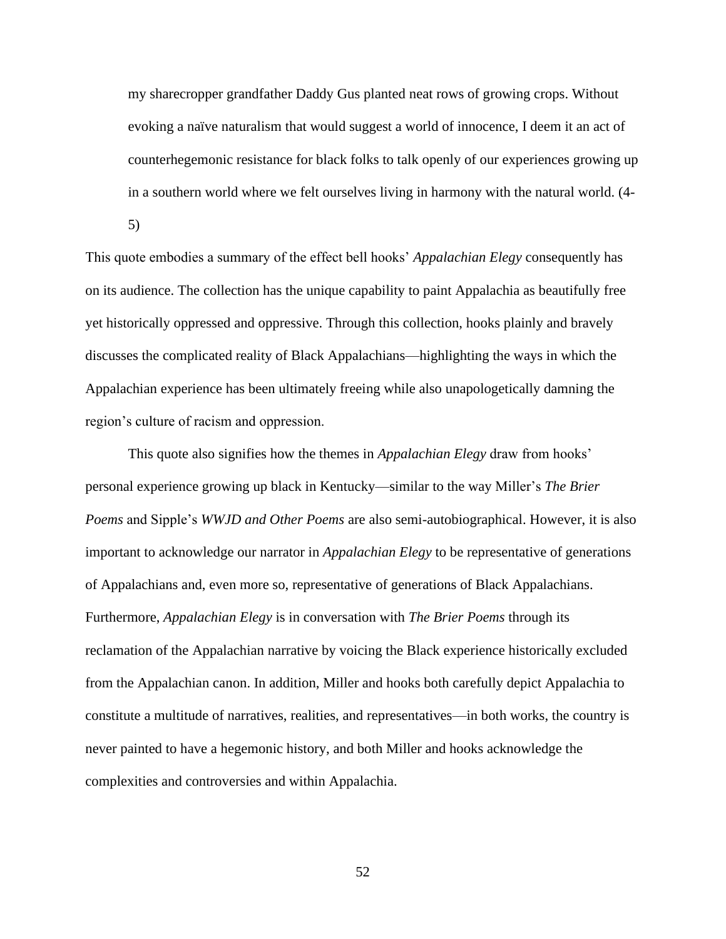my sharecropper grandfather Daddy Gus planted neat rows of growing crops. Without evoking a naïve naturalism that would suggest a world of innocence, I deem it an act of counterhegemonic resistance for black folks to talk openly of our experiences growing up in a southern world where we felt ourselves living in harmony with the natural world. (4-

5)

This quote embodies a summary of the effect bell hooks' *Appalachian Elegy* consequently has on its audience. The collection has the unique capability to paint Appalachia as beautifully free yet historically oppressed and oppressive. Through this collection, hooks plainly and bravely discusses the complicated reality of Black Appalachians—highlighting the ways in which the Appalachian experience has been ultimately freeing while also unapologetically damning the region's culture of racism and oppression.

This quote also signifies how the themes in *Appalachian Elegy* draw from hooks' personal experience growing up black in Kentucky—similar to the way Miller's *The Brier Poems* and Sipple's *WWJD and Other Poems* are also semi-autobiographical. However, it is also important to acknowledge our narrator in *Appalachian Elegy* to be representative of generations of Appalachians and, even more so, representative of generations of Black Appalachians. Furthermore, *Appalachian Elegy* is in conversation with *The Brier Poems* through its reclamation of the Appalachian narrative by voicing the Black experience historically excluded from the Appalachian canon. In addition, Miller and hooks both carefully depict Appalachia to constitute a multitude of narratives, realities, and representatives—in both works, the country is never painted to have a hegemonic history, and both Miller and hooks acknowledge the complexities and controversies and within Appalachia.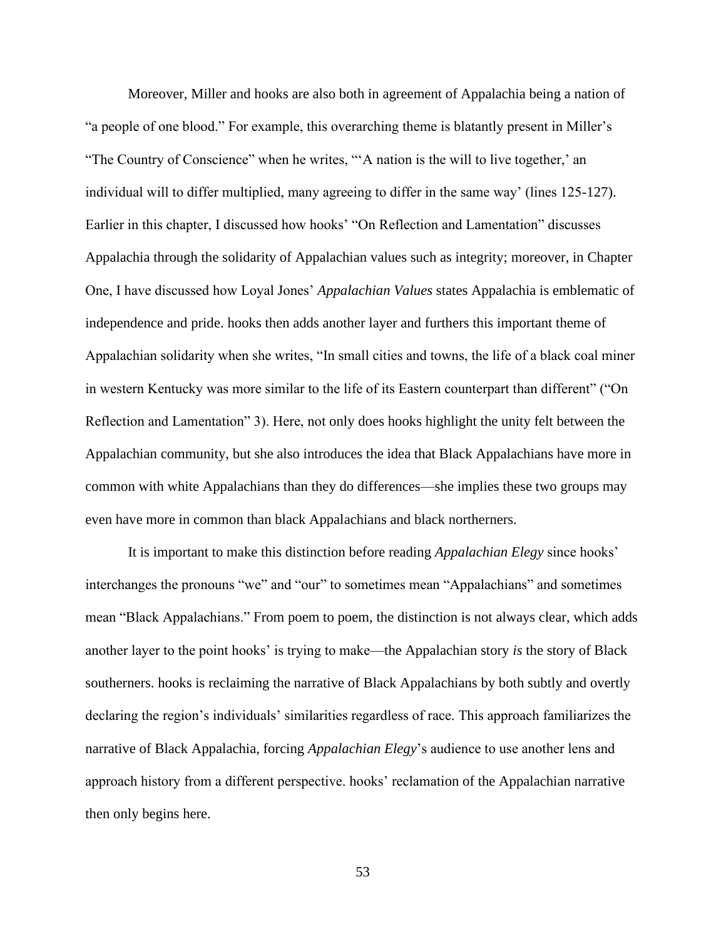Moreover, Miller and hooks are also both in agreement of Appalachia being a nation of "a people of one blood." For example, this overarching theme is blatantly present in Miller's "The Country of Conscience" when he writes, "'A nation is the will to live together,' an individual will to differ multiplied, many agreeing to differ in the same way' (lines 125-127). Earlier in this chapter, I discussed how hooks' "On Reflection and Lamentation" discusses Appalachia through the solidarity of Appalachian values such as integrity; moreover, in Chapter One, I have discussed how Loyal Jones' *Appalachian Values* states Appalachia is emblematic of independence and pride. hooks then adds another layer and furthers this important theme of Appalachian solidarity when she writes, "In small cities and towns, the life of a black coal miner in western Kentucky was more similar to the life of its Eastern counterpart than different" ("On Reflection and Lamentation" 3). Here, not only does hooks highlight the unity felt between the Appalachian community, but she also introduces the idea that Black Appalachians have more in common with white Appalachians than they do differences—she implies these two groups may even have more in common than black Appalachians and black northerners.

It is important to make this distinction before reading *Appalachian Elegy* since hooks' interchanges the pronouns "we" and "our" to sometimes mean "Appalachians" and sometimes mean "Black Appalachians." From poem to poem, the distinction is not always clear, which adds another layer to the point hooks' is trying to make—the Appalachian story *is* the story of Black southerners. hooks is reclaiming the narrative of Black Appalachians by both subtly and overtly declaring the region's individuals' similarities regardless of race. This approach familiarizes the narrative of Black Appalachia, forcing *Appalachian Elegy*'s audience to use another lens and approach history from a different perspective. hooks' reclamation of the Appalachian narrative then only begins here.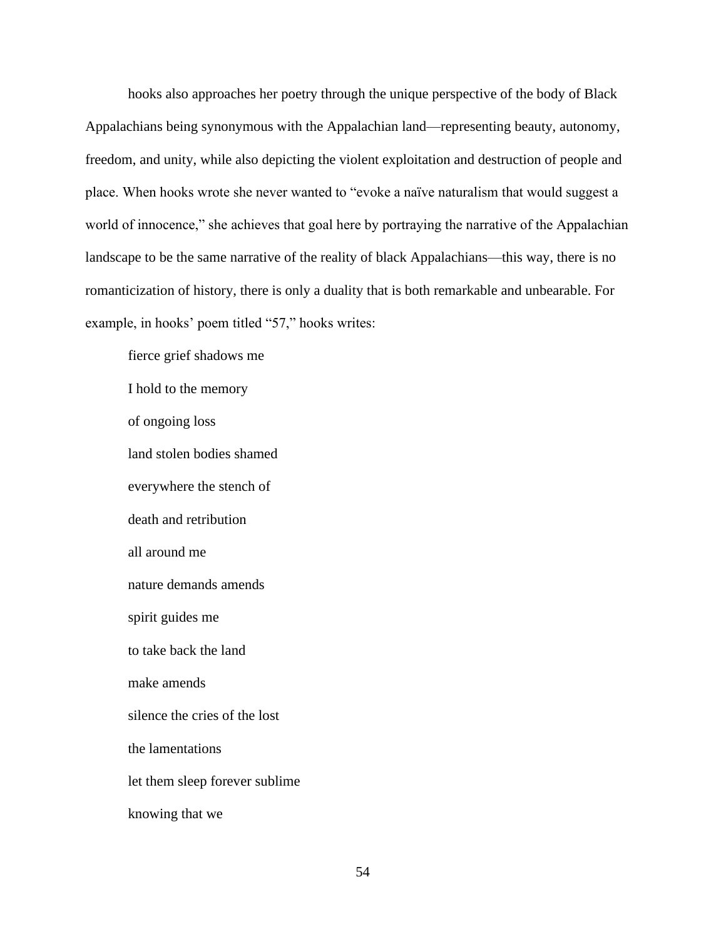hooks also approaches her poetry through the unique perspective of the body of Black Appalachians being synonymous with the Appalachian land—representing beauty, autonomy, freedom, and unity, while also depicting the violent exploitation and destruction of people and place. When hooks wrote she never wanted to "evoke a naïve naturalism that would suggest a world of innocence," she achieves that goal here by portraying the narrative of the Appalachian landscape to be the same narrative of the reality of black Appalachians—this way, there is no romanticization of history, there is only a duality that is both remarkable and unbearable. For example, in hooks' poem titled "57," hooks writes:

fierce grief shadows me I hold to the memory of ongoing loss land stolen bodies shamed everywhere the stench of death and retribution all around me nature demands amends spirit guides me to take back the land make amends silence the cries of the lost the lamentations let them sleep forever sublime knowing that we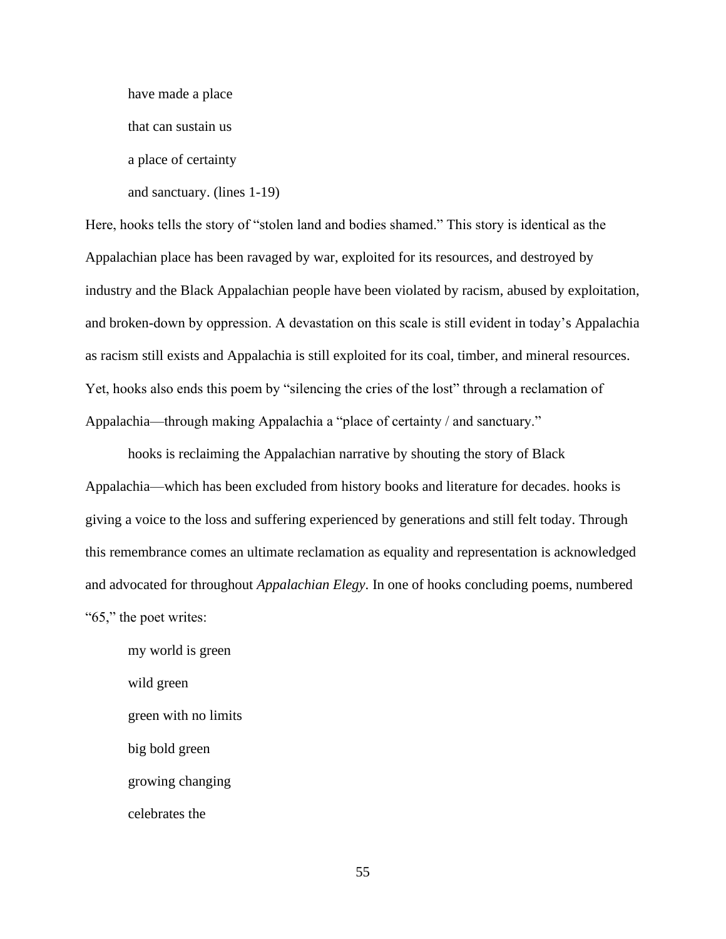have made a place

that can sustain us

a place of certainty

and sanctuary. (lines 1-19)

Here, hooks tells the story of "stolen land and bodies shamed." This story is identical as the Appalachian place has been ravaged by war, exploited for its resources, and destroyed by industry and the Black Appalachian people have been violated by racism, abused by exploitation, and broken-down by oppression. A devastation on this scale is still evident in today's Appalachia as racism still exists and Appalachia is still exploited for its coal, timber, and mineral resources. Yet, hooks also ends this poem by "silencing the cries of the lost" through a reclamation of Appalachia—through making Appalachia a "place of certainty / and sanctuary."

hooks is reclaiming the Appalachian narrative by shouting the story of Black Appalachia—which has been excluded from history books and literature for decades. hooks is giving a voice to the loss and suffering experienced by generations and still felt today. Through this remembrance comes an ultimate reclamation as equality and representation is acknowledged and advocated for throughout *Appalachian Elegy*. In one of hooks concluding poems, numbered "65," the poet writes:

my world is green wild green green with no limits big bold green growing changing celebrates the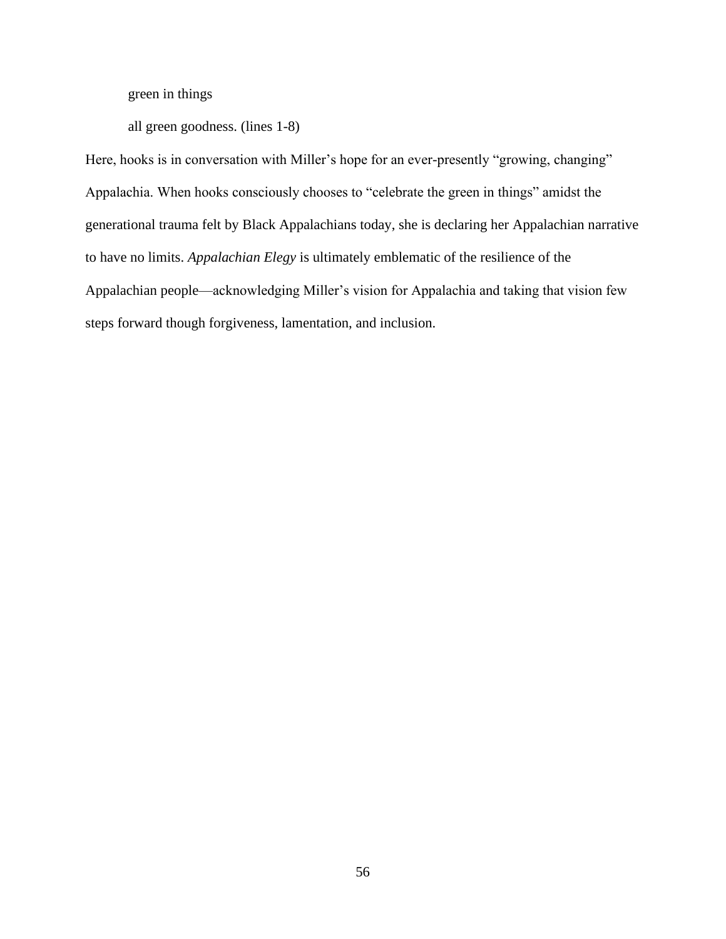green in things

all green goodness. (lines 1-8)

Here, hooks is in conversation with Miller's hope for an ever-presently "growing, changing" Appalachia. When hooks consciously chooses to "celebrate the green in things" amidst the generational trauma felt by Black Appalachians today, she is declaring her Appalachian narrative to have no limits. *Appalachian Elegy* is ultimately emblematic of the resilience of the Appalachian people—acknowledging Miller's vision for Appalachia and taking that vision few steps forward though forgiveness, lamentation, and inclusion.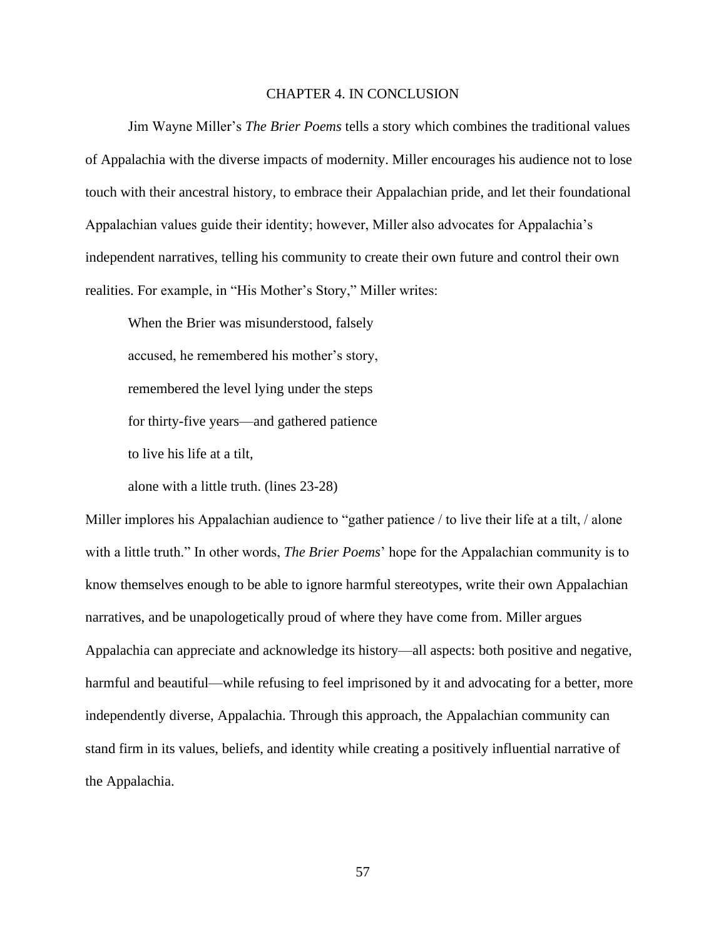#### CHAPTER 4. IN CONCLUSION

Jim Wayne Miller's *The Brier Poems* tells a story which combines the traditional values of Appalachia with the diverse impacts of modernity. Miller encourages his audience not to lose touch with their ancestral history, to embrace their Appalachian pride, and let their foundational Appalachian values guide their identity; however, Miller also advocates for Appalachia's independent narratives, telling his community to create their own future and control their own realities. For example, in "His Mother's Story," Miller writes:

When the Brier was misunderstood, falsely accused, he remembered his mother's story, remembered the level lying under the steps for thirty-five years—and gathered patience to live his life at a tilt,

alone with a little truth. (lines 23-28)

Miller implores his Appalachian audience to "gather patience / to live their life at a tilt, / alone with a little truth." In other words, *The Brier Poems*' hope for the Appalachian community is to know themselves enough to be able to ignore harmful stereotypes, write their own Appalachian narratives, and be unapologetically proud of where they have come from. Miller argues Appalachia can appreciate and acknowledge its history—all aspects: both positive and negative, harmful and beautiful—while refusing to feel imprisoned by it and advocating for a better, more independently diverse, Appalachia. Through this approach, the Appalachian community can stand firm in its values, beliefs, and identity while creating a positively influential narrative of the Appalachia.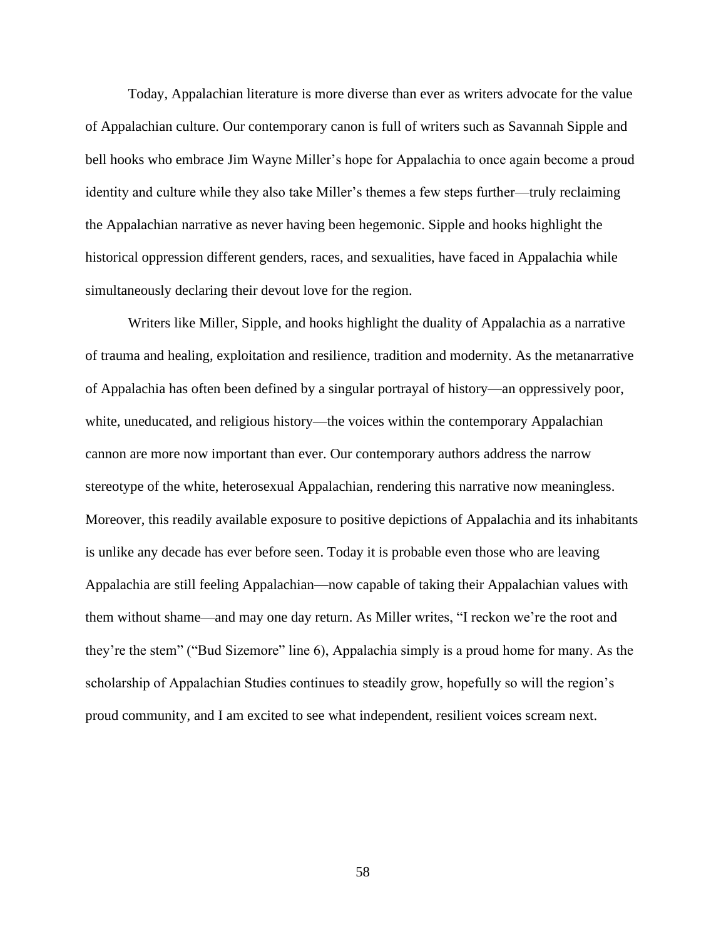Today, Appalachian literature is more diverse than ever as writers advocate for the value of Appalachian culture. Our contemporary canon is full of writers such as Savannah Sipple and bell hooks who embrace Jim Wayne Miller's hope for Appalachia to once again become a proud identity and culture while they also take Miller's themes a few steps further—truly reclaiming the Appalachian narrative as never having been hegemonic. Sipple and hooks highlight the historical oppression different genders, races, and sexualities, have faced in Appalachia while simultaneously declaring their devout love for the region.

Writers like Miller, Sipple, and hooks highlight the duality of Appalachia as a narrative of trauma and healing, exploitation and resilience, tradition and modernity. As the metanarrative of Appalachia has often been defined by a singular portrayal of history—an oppressively poor, white, uneducated, and religious history—the voices within the contemporary Appalachian cannon are more now important than ever. Our contemporary authors address the narrow stereotype of the white, heterosexual Appalachian, rendering this narrative now meaningless. Moreover, this readily available exposure to positive depictions of Appalachia and its inhabitants is unlike any decade has ever before seen. Today it is probable even those who are leaving Appalachia are still feeling Appalachian—now capable of taking their Appalachian values with them without shame—and may one day return. As Miller writes, "I reckon we're the root and they're the stem" ("Bud Sizemore" line 6), Appalachia simply is a proud home for many. As the scholarship of Appalachian Studies continues to steadily grow, hopefully so will the region's proud community, and I am excited to see what independent, resilient voices scream next.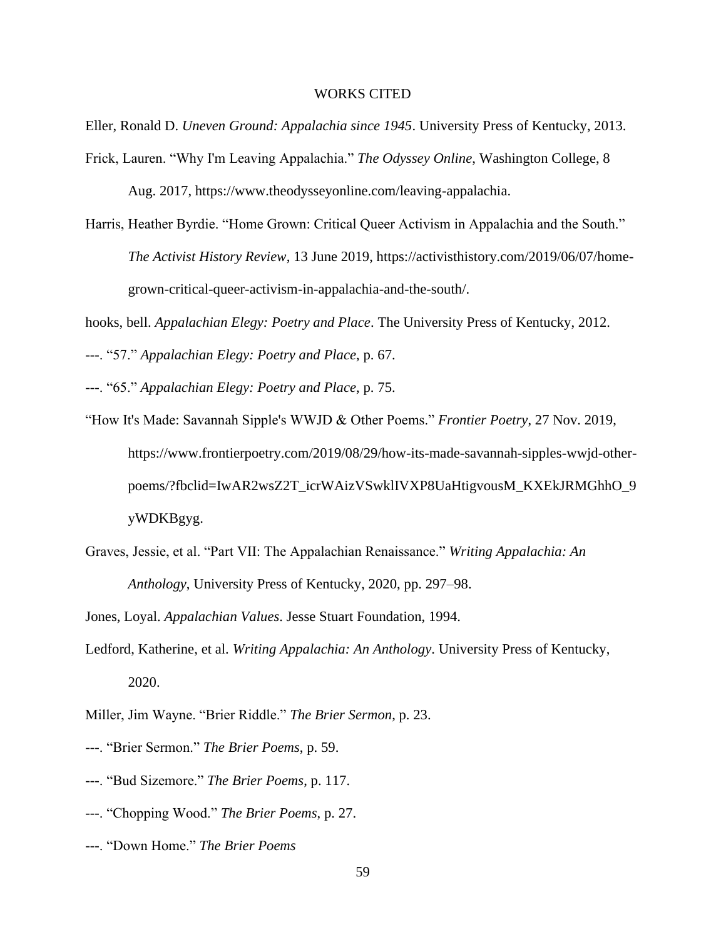#### WORKS CITED

Eller, Ronald D. *Uneven Ground: Appalachia since 1945*. University Press of Kentucky, 2013.

- Frick, Lauren. "Why I'm Leaving Appalachia." *The Odyssey Online*, Washington College, 8 Aug. 2017, [https://www.theodysseyonline.com/leaving-appalachia.](https://www.theodysseyonline.com/leaving-appalachia)
- Harris, Heather Byrdie. "Home Grown: Critical Queer Activism in Appalachia and the South." *The Activist History Review*, 13 June 2019, [https://activisthistory.com/2019/06/07/home](https://activisthistory.com/2019/06/07/home-)grown-critical-queer-activism-in-appalachia-and-the-south/.

hooks, bell. *Appalachian Elegy: Poetry and Place*. The University Press of Kentucky, 2012.

---. "57." *Appalachian Elegy: Poetry and Place*, p. 67.

---. "65." *Appalachian Elegy: Poetry and Place*, p. 75.

- "How It's Made: Savannah Sipple's WWJD & Other Poems." *Frontier Poetry*, 27 Nov. 2019, [https://www.frontierpoetry.com/2019/08/29/how-its-made-savannah-sipples-wwjd-other](https://www.frontierpoetry.com/2019/08/29/how-its-made-savannah-sipples-wwjd-other-)poems/?fbclid=IwAR2wsZ2T\_icrWAizVSwklIVXP8UaHtigvousM\_KXEkJRMGhhO\_9 yWDKBgyg.
- Graves, Jessie, et al. "Part VII: The Appalachian Renaissance." *Writing Appalachia: An Anthology*, University Press of Kentucky, 2020, pp. 297–98.

Jones, Loyal. *Appalachian Values*. Jesse Stuart Foundation, 1994.

Ledford, Katherine, et al. *Writing Appalachia: An Anthology*. University Press of Kentucky, 2020.

Miller, Jim Wayne. "Brier Riddle." *The Brier Sermon*, p. 23.

- ---. "Brier Sermon." *The Brier Poems*, p. 59.
- ---. "Bud Sizemore." *The Brier Poems*, p. 117.
- ---. "Chopping Wood." *The Brier Poems*, p. 27.
- ---. "Down Home." *The Brier Poems*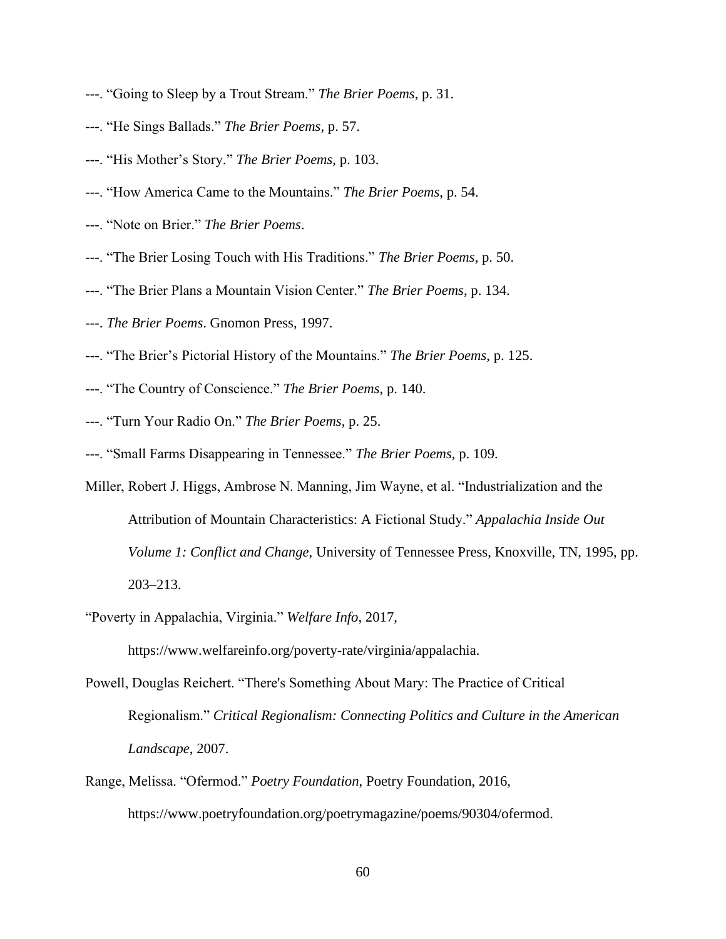- ---. "Going to Sleep by a Trout Stream." *The Brier Poems*, p. 31.
- ---. "He Sings Ballads." *The Brier Poems*, p. 57.
- ---. "His Mother's Story." *The Brier Poems*, p. 103.
- ---. "How America Came to the Mountains." *The Brier Poems*, p. 54.
- ---. "Note on Brier." *The Brier Poems*.
- ---. "The Brier Losing Touch with His Traditions." *The Brier Poems*, p. 50.
- ---. "The Brier Plans a Mountain Vision Center." *The Brier Poems*, p. 134.
- ---. *The Brier Poems*. Gnomon Press, 1997.
- ---. "The Brier's Pictorial History of the Mountains." *The Brier Poems*, p. 125.
- ---. "The Country of Conscience." *The Brier Poems*, p. 140.
- ---. "Turn Your Radio On." *The Brier Poems*, p. 25.
- ---. "Small Farms Disappearing in Tennessee." *The Brier Poems*, p. 109.
- Miller, Robert J. Higgs, Ambrose N. Manning, Jim Wayne, et al. "Industrialization and the Attribution of Mountain Characteristics: A Fictional Study." *Appalachia Inside Out Volume 1: Conflict and Change*, University of Tennessee Press, Knoxville, TN, 1995, pp. 203–213.
- "Poverty in Appalachia, Virginia." *Welfare Info*, 2017,

[https://www.welfareinfo.org/poverty-r](https://www.welfareinfo.org/poverty-)ate/virginia/appalachia.

- Powell, Douglas Reichert. "There's Something About Mary: The Practice of Critical Regionalism." *Critical Regionalism: Connecting Politics and Culture in the American Landscape*, 2007.
- Range, Melissa. "Ofermod." *Poetry Foundation*, Poetry Foundation, 2016, https://www.poetryfoundation.org/poetrymagazine/poems/90304/ofermod.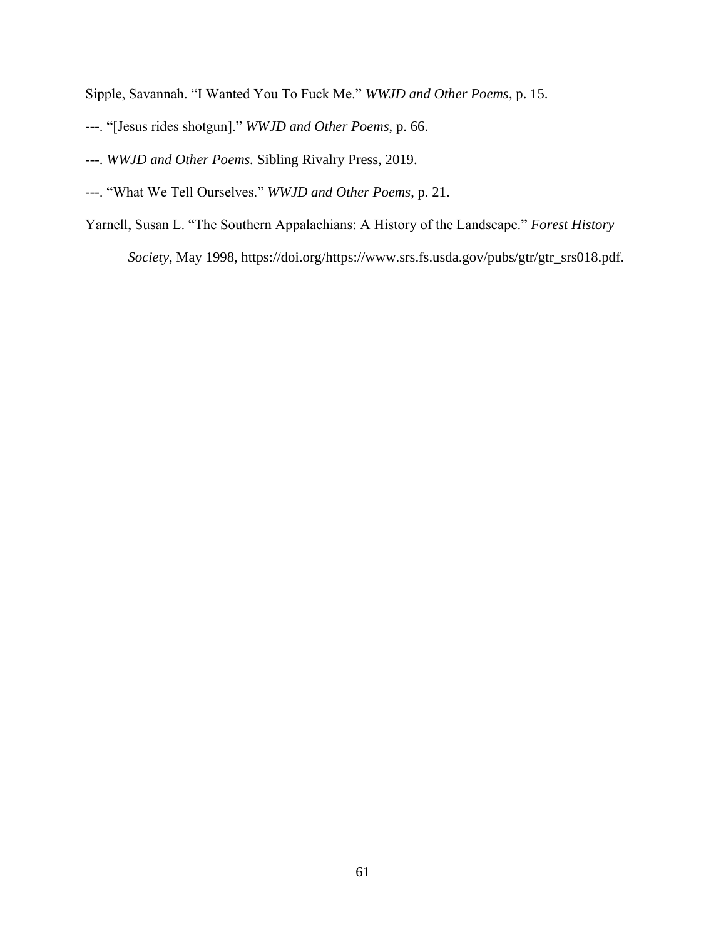Sipple, Savannah. "I Wanted You To Fuck Me." *WWJD and Other Poems*, p. 15.

- ---. "[Jesus rides shotgun]." *WWJD and Other Poems*, p. 66.
- ---. *WWJD and Other Poems.* Sibling Rivalry Press, 2019.
- ---. "What We Tell Ourselves." *WWJD and Other Poems*, p. 21.
- Yarnell, Susan L. "The Southern Appalachians: A History of the Landscape." *Forest History*

*Society*, May 1998, https://doi.org/https://www.srs.fs.usda.gov/pubs/gtr/gtr\_srs018.pdf.